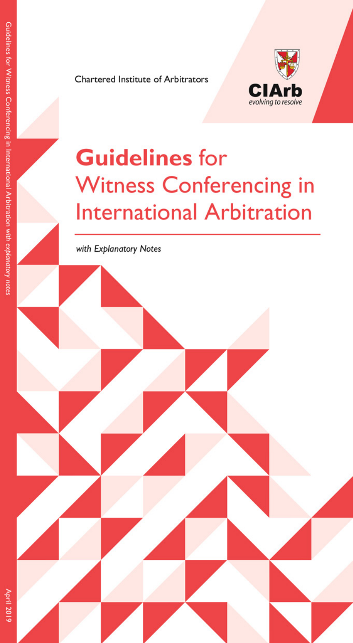Chartered Institute of Arbitrators



# **Guidelines for Witness Conferencing in International Arbitration**

with Explanatory Notes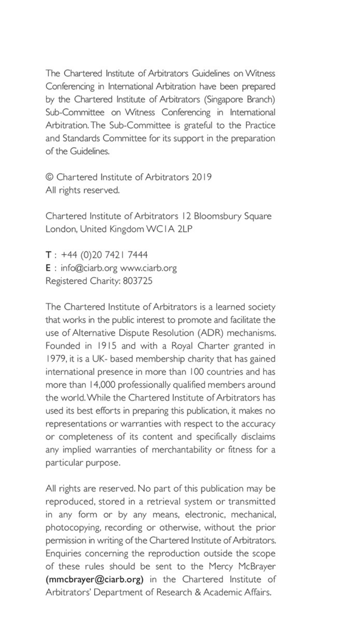The Chartered Institute of Arbitrators Guidelines on Witness Conferencing in International Arbitration have been prepared by the Chartered Institute of Arbitrators (Singapore Branch) Sub-Committee on Witness Conferencing in International Arbitration. The Sub-Committee is grateful to the Practice and Standards Committee for its support in the preparation of the Guidelines

© Chartered Institute of Arbitrators 2019 All rights reserved.

Chartered Institute of Arbitrators 12 Bloomsbury Square London, United Kingdom WCIA 2LP

 $T: +44(0)2074217444$ E : info@ciarb.org www.ciarb.org Registered Charity: 803725

The Chartered Institute of Arbitrators is a learned society that works in the public interest to promote and facilitate the use of Alternative Dispute Resolution (ADR) mechanisms. Founded in 1915 and with a Royal Charter granted in 1979, it is a UK- based membership charity that has gained international presence in more than 100 countries and has more than 14,000 professionally qualified members around the world. While the Chartered Institute of Arbitrators has used its best efforts in preparing this publication, it makes no representations or warranties with respect to the accuracy or completeness of its content and specifically disclaims any implied warranties of merchantability or fitness for a particular purpose.

All rights are reserved. No part of this publication may be reproduced, stored in a retrieval system or transmitted in any form or by any means, electronic, mechanical, photocopying, recording or otherwise, without the prior permission in writing of the Chartered Institute of Arbitrators. Enquiries concerning the reproduction outside the scope of these rules should be sent to the Mercy McBrayer (mmcbrayer@ciarb.org) in the Chartered Institute of Arbitrators' Department of Research & Academic Affairs.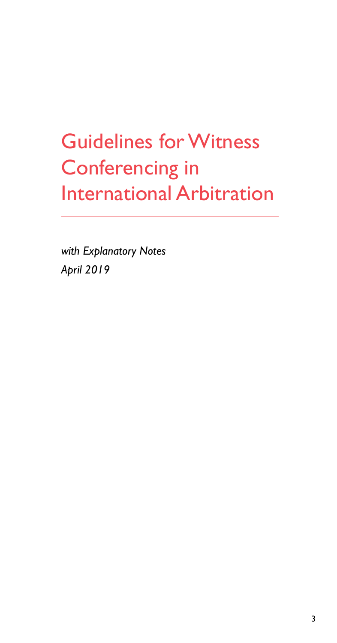# Guidelines for Witness Conferencing in International Arbitration

*with Explanatory Notes April 2019*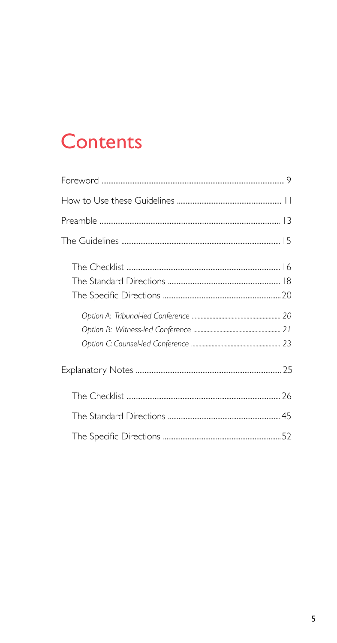# **Contents**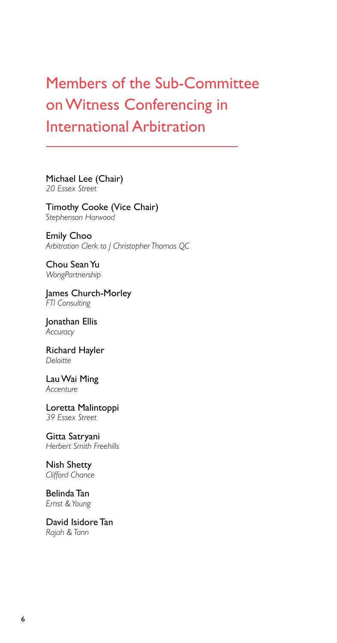# Members of the Sub-Committee on Witness Conferencing in International Arbitration

Michael Lee (Chair) *20 Essex Street*

Timothy Cooke (Vice Chair) *Stephenson Harwood*

Emily Choo *Arbitration Clerk to J Christopher Thomas QC*

Chou Sean Yu *WongPartnership*

James Church-Morley *FTI Consulting*

Jonathan Ellis *Accuracy*

Richard Hayler *Deloitte*

Lau Wai Ming *Accenture*

Loretta Malintoppi *39 Essex Street*

Gitta Satryani *Herbert Smith Freehills*

Nish Shetty *Clifford Chance*

Belinda Tan *Ernst & Young*

David Isidore Tan *Rajah & Tann*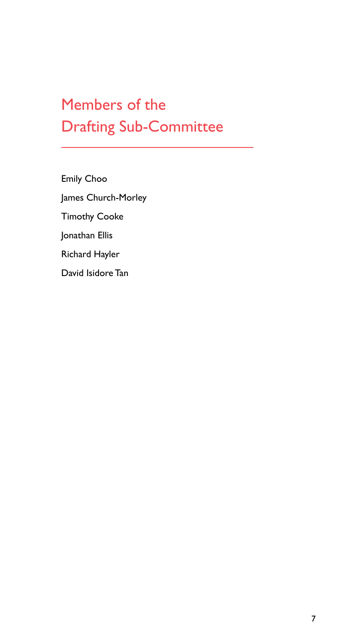# Members of the Drafting Sub-Committee

Emily Choo James Church-Morley Timothy Cooke Jonathan Ellis Richard Hayler David Isidore Tan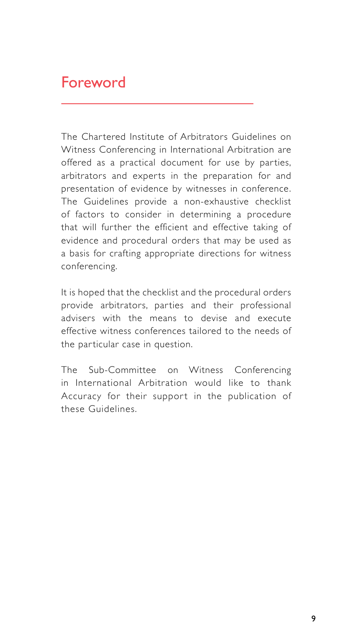## Foreword

The Chartered Institute of Arbitrators Guidelines on Witness Conferencing in International Arbitration are offered as a practical document for use by parties, arbitrators and experts in the preparation for and presentation of evidence by witnesses in conference. The Guidelines provide a non-exhaustive checklist of factors to consider in determining a procedure that will further the efficient and effective taking of evidence and procedural orders that may be used as a basis for crafting appropriate directions for witness conferencing.

It is hoped that the checklist and the procedural orders provide arbitrators, parties and their professional advisers with the means to devise and execute effective witness conferences tailored to the needs of the particular case in question.

The Sub-Committee on Witness Conferencing in International Arbitration would like to thank Accuracy for their support in the publication of these Guidelines.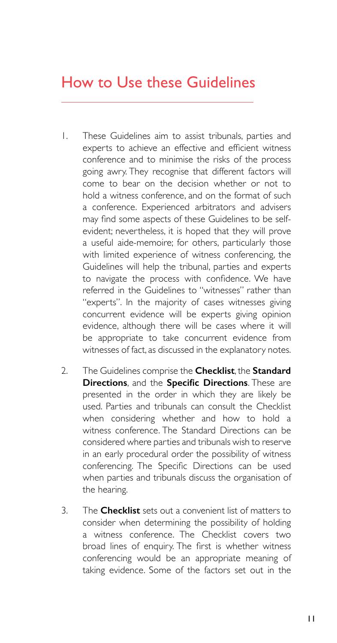## How to Use these Guidelines

- 1. These Guidelines aim to assist tribunals, parties and experts to achieve an effective and efficient witness conference and to minimise the risks of the process going awry. They recognise that different factors will come to bear on the decision whether or not to hold a witness conference, and on the format of such a conference. Experienced arbitrators and advisers may find some aspects of these Guidelines to be selfevident; nevertheless, it is hoped that they will prove a useful aide-memoire; for others, particularly those with limited experience of witness conferencing, the Guidelines will help the tribunal, parties and experts to navigate the process with confidence. We have referred in the Guidelines to "witnesses" rather than "experts". In the majority of cases witnesses giving concurrent evidence will be experts giving opinion evidence, although there will be cases where it will be appropriate to take concurrent evidence from witnesses of fact, as discussed in the explanatory notes.
- 2. The Guidelines comprise the **Checklist**, the **Standard Directions**, and the **Specific Directions**. These are presented in the order in which they are likely be used. Parties and tribunals can consult the Checklist when considering whether and how to hold a witness conference. The Standard Directions can be considered where parties and tribunals wish to reserve in an early procedural order the possibility of witness conferencing. The Specific Directions can be used when parties and tribunals discuss the organisation of the hearing.
- 3. The **Checklist** sets out a convenient list of matters to consider when determining the possibility of holding a witness conference. The Checklist covers two broad lines of enquiry. The first is whether witness conferencing would be an appropriate meaning of taking evidence. Some of the factors set out in the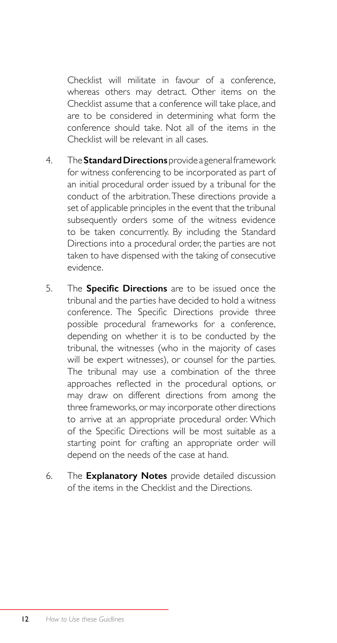Checklist will militate in favour of a conference, whereas others may detract. Other items on the Checklist assume that a conference will take place, and are to be considered in determining what form the conference should take. Not all of the items in the Checklist will be relevant in all cases.

- 4. The **Standard Directions** provide a general framework for witness conferencing to be incorporated as part of an initial procedural order issued by a tribunal for the conduct of the arbitration. These directions provide a set of applicable principles in the event that the tribunal subsequently orders some of the witness evidence to be taken concurrently. By including the Standard Directions into a procedural order, the parties are not taken to have dispensed with the taking of consecutive evidence.
- 5. The **Specific Directions** are to be issued once the tribunal and the parties have decided to hold a witness conference. The Specific Directions provide three possible procedural frameworks for a conference, depending on whether it is to be conducted by the tribunal, the witnesses (who in the majority of cases will be expert witnesses), or counsel for the parties. The tribunal may use a combination of the three approaches reflected in the procedural options, or may draw on different directions from among the three frameworks, or may incorporate other directions to arrive at an appropriate procedural order. Which of the Specific Directions will be most suitable as a starting point for crafting an appropriate order will depend on the needs of the case at hand.
- 6. The **Explanatory Notes** provide detailed discussion of the items in the Checklist and the Directions.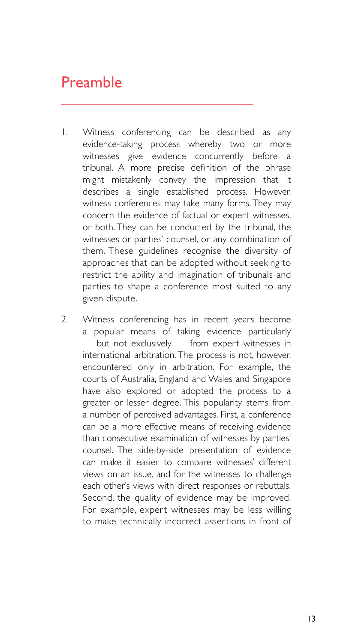## Preamble

- 1. Witness conferencing can be described as any evidence-taking process whereby two or more witnesses give evidence concurrently before a tribunal. A more precise definition of the phrase might mistakenly convey the impression that it describes a single established process. However, witness conferences may take many forms. They may concern the evidence of factual or expert witnesses, or both. They can be conducted by the tribunal, the witnesses or parties' counsel, or any combination of them. These guidelines recognise the diversity of approaches that can be adopted without seeking to restrict the ability and imagination of tribunals and parties to shape a conference most suited to any given dispute.
- 2. Witness conferencing has in recent years become a popular means of taking evidence particularly — but not exclusively — from expert witnesses in international arbitration. The process is not, however, encountered only in arbitration. For example, the courts of Australia, England and Wales and Singapore have also explored or adopted the process to a greater or lesser degree. This popularity stems from a number of perceived advantages. First, a conference can be a more effective means of receiving evidence than consecutive examination of witnesses by parties' counsel. The side-by-side presentation of evidence can make it easier to compare witnesses' different views on an issue, and for the witnesses to challenge each other's views with direct responses or rebuttals. Second, the quality of evidence may be improved. For example, expert witnesses may be less willing to make technically incorrect assertions in front of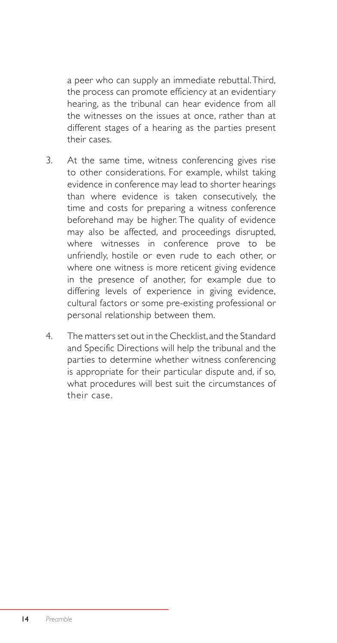a peer who can supply an immediate rebuttal. Third, the process can promote efficiency at an evidentiary hearing, as the tribunal can hear evidence from all the witnesses on the issues at once, rather than at different stages of a hearing as the parties present their cases.

- 3. At the same time, witness conferencing gives rise to other considerations. For example, whilst taking evidence in conference may lead to shorter hearings than where evidence is taken consecutively, the time and costs for preparing a witness conference beforehand may be higher. The quality of evidence may also be affected, and proceedings disrupted, where witnesses in conference prove to be unfriendly, hostile or even rude to each other, or where one witness is more reticent giving evidence in the presence of another, for example due to differing levels of experience in giving evidence, cultural factors or some pre-existing professional or personal relationship between them.
- 4. The matters set out in the Checklist, and the Standard and Specific Directions will help the tribunal and the parties to determine whether witness conferencing is appropriate for their particular dispute and, if so, what procedures will best suit the circumstances of their case.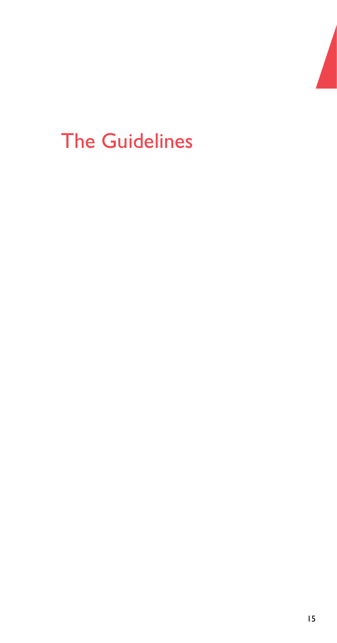

# The Guidelines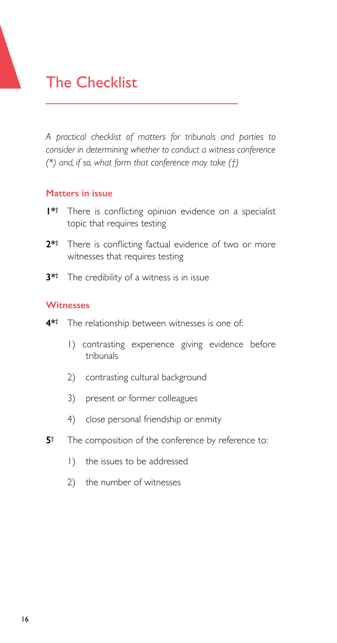# The Checklist

*A practical checklist of matters for tribunals and parties to consider in determining whether to conduct a witness conference (\*) and, if so, what form that conference may take (†)*

#### **Matters in issue**

- **1\*†** There is conflicting opinion evidence on a specialist topic that requires testing
- **2\*†** There is conflicting factual evidence of two or more witnesses that requires testing
- **3\*†** The credibility of a witness is in issue

#### **Witnesses**

- **4\*†** The relationship between witnesses is one of:
	- 1) contrasting experience giving evidence before tribunals
	- 2) contrasting cultural background
	- 3) present or former colleagues
	- 4) close personal friendship or enmity
- **5†** The composition of the conference by reference to:
	- 1) the issues to be addressed
	- 2) the number of witnesses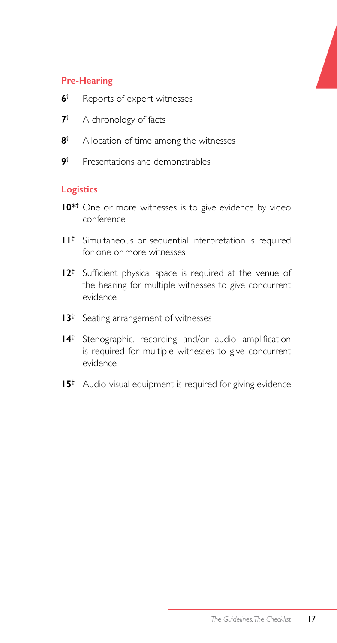#### **Pre-Hearing**

- **6†** Reports of expert witnesses
- **7†** A chronology of facts
- **8†** Allocation of time among the witnesses
- **9†** Presentations and demonstrables

#### **Logistics**

- **10\*†** One or more witnesses is to give evidence by video conference
- **11†** Simultaneous or sequential interpretation is required for one or more witnesses
- **12†** Sufficient physical space is required at the venue of the hearing for multiple witnesses to give concurrent evidence
- **13†** Seating arrangement of witnesses
- **14†** Stenographic, recording and/or audio amplification is required for multiple witnesses to give concurrent evidence
- **15†** Audio-visual equipment is required for giving evidence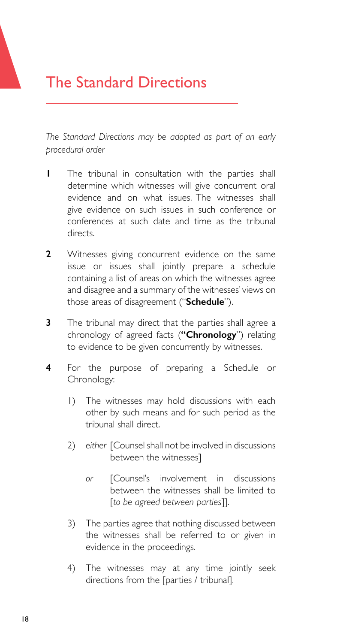# The Standard Directions

*The Standard Directions may be adopted as part of an early procedural order*

- **1** The tribunal in consultation with the parties shall determine which witnesses will give concurrent oral evidence and on what issues. The witnesses shall give evidence on such issues in such conference or conferences at such date and time as the tribunal directs.
- **2** Witnesses giving concurrent evidence on the same issue or issues shall jointly prepare a schedule containing a list of areas on which the witnesses agree and disagree and a summary of the witnesses' views on those areas of disagreement ("**Schedule**").
- **3** The tribunal may direct that the parties shall agree a chronology of agreed facts (**"Chronology**") relating to evidence to be given concurrently by witnesses.
- **4** For the purpose of preparing a Schedule or Chronology:
	- 1) The witnesses may hold discussions with each other by such means and for such period as the tribunal shall direct.
	- 2) either [Counsel shall not be involved in discussions between the witnesses]
		- *or* [Counsel's involvement in discussions between the witnesses shall be limited to [*to be agreed between parties*]].
	- 3) The parties agree that nothing discussed between the witnesses shall be referred to or given in evidence in the proceedings.
	- 4) The witnesses may at any time jointly seek directions from the [parties / tribunal].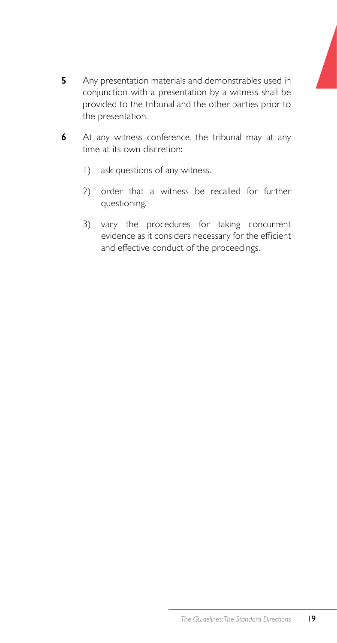- **5** Any presentation materials and demonstrables used in conjunction with a presentation by a witness shall be provided to the tribunal and the other parties prior to the presentation.
- **6** At any witness conference, the tribunal may at any time at its own discretion:
	- 1) ask questions of any witness.
	- 2) order that a witness be recalled for further questioning.
	- 3) vary the procedures for taking concurrent evidence as it considers necessary for the efficient and effective conduct of the proceedings.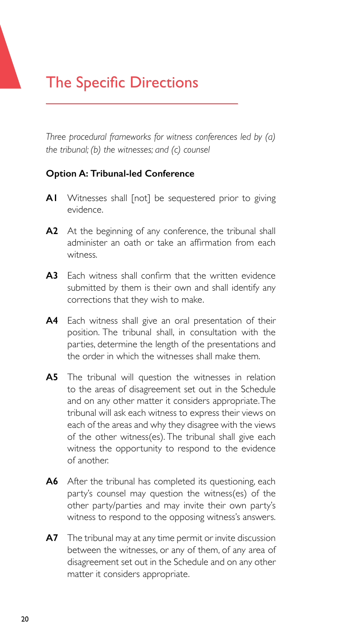# The Specific Directions

*Three procedural frameworks for witness conferences led by (a) the tribunal; (b) the witnesses; and (c) counsel*

#### **Option A: Tribunal-led Conference**

- **A1** Witnesses shall [not] be sequestered prior to giving evidence.
- **A2** At the beginning of any conference, the tribunal shall administer an oath or take an affirmation from each witness.
- **A3** Each witness shall confirm that the written evidence submitted by them is their own and shall identify any corrections that they wish to make.
- **A4** Each witness shall give an oral presentation of their position. The tribunal shall, in consultation with the parties, determine the length of the presentations and the order in which the witnesses shall make them.
- **A5** The tribunal will question the witnesses in relation to the areas of disagreement set out in the Schedule and on any other matter it considers appropriate. The tribunal will ask each witness to express their views on each of the areas and why they disagree with the views of the other witness(es). The tribunal shall give each witness the opportunity to respond to the evidence of another.
- **A6** After the tribunal has completed its questioning, each party's counsel may question the witness(es) of the other party/parties and may invite their own party's witness to respond to the opposing witness's answers.
- **A7** The tribunal may at any time permit or invite discussion between the witnesses, or any of them, of any area of disagreement set out in the Schedule and on any other matter it considers appropriate.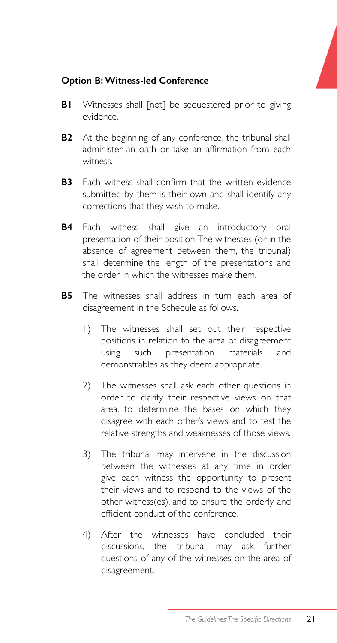#### **Option B: Witness-led Conference**

- **B1** Witnesses shall [not] be sequestered prior to giving evidence.
- **B2** At the beginning of any conference, the tribunal shall administer an oath or take an affirmation from each witness.
- **B3** Each witness shall confirm that the written evidence submitted by them is their own and shall identify any corrections that they wish to make.
- **B4** Each witness shall give an introductory oral presentation of their position. The witnesses (or in the absence of agreement between them, the tribunal) shall determine the length of the presentations and the order in which the witnesses make them.
- **B5** The witnesses shall address in turn each area of disagreement in the Schedule as follows.
	- 1) The witnesses shall set out their respective positions in relation to the area of disagreement using such presentation materials and demonstrables as they deem appropriate.
	- 2) The witnesses shall ask each other questions in order to clarify their respective views on that area, to determine the bases on which they disagree with each other's views and to test the relative strengths and weaknesses of those views.
	- 3) The tribunal may intervene in the discussion between the witnesses at any time in order give each witness the opportunity to present their views and to respond to the views of the other witness(es), and to ensure the orderly and efficient conduct of the conference.
	- 4) After the witnesses have concluded their discussions, the tribunal may ask further questions of any of the witnesses on the area of disagreement.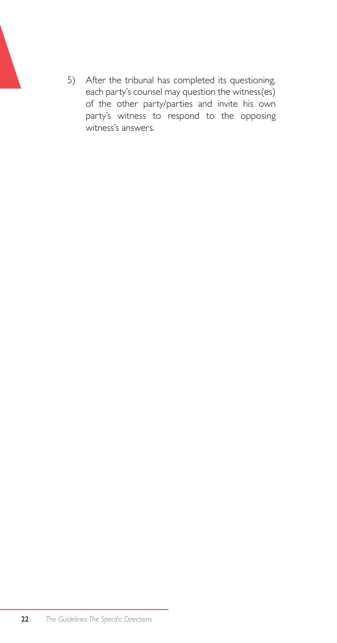5) After the tribunal has completed its questioning, each party's counsel may question the witness(es) of the other party/parties and invite his own party's witness to respond to the opposing witness's answers.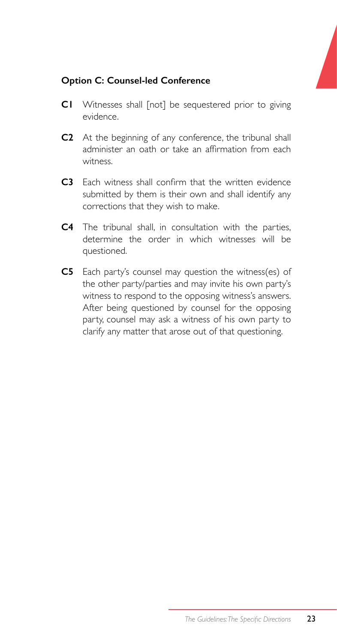### **Option C: Counsel-led Conference**

- **C1** Witnesses shall [not] be sequestered prior to giving evidence.
- **C2** At the beginning of any conference, the tribunal shall administer an oath or take an affirmation from each witness.
- **C3** Each witness shall confirm that the written evidence submitted by them is their own and shall identify any corrections that they wish to make.
- **C4** The tribunal shall, in consultation with the parties, determine the order in which witnesses will be questioned.
- **C5** Each party's counsel may question the witness(es) of the other party/parties and may invite his own party's witness to respond to the opposing witness's answers. After being questioned by counsel for the opposing party, counsel may ask a witness of his own party to clarify any matter that arose out of that questioning.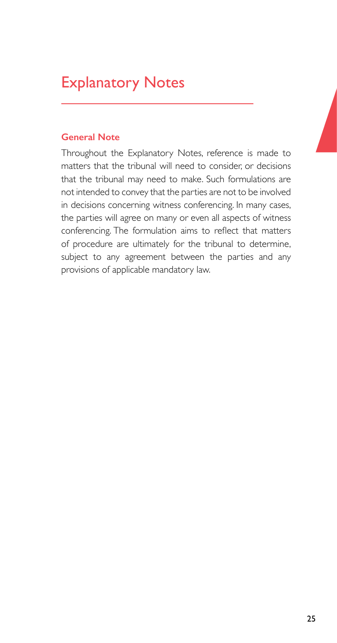# Explanatory Notes

#### **General Note**

Throughout the Explanatory Notes, reference is made to matters that the tribunal will need to consider, or decisions that the tribunal may need to make. Such formulations are not intended to convey that the parties are not to be involved in decisions concerning witness conferencing. In many cases, the parties will agree on many or even all aspects of witness conferencing. The formulation aims to reflect that matters of procedure are ultimately for the tribunal to determine, subject to any agreement between the parties and any provisions of applicable mandatory law.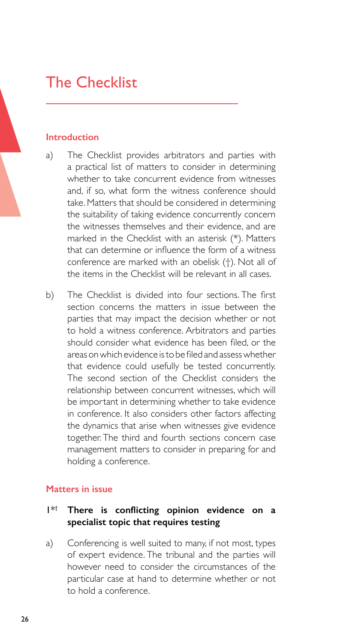# The Checklist

#### **Introduction**

- a) The Checklist provides arbitrators and parties with a practical list of matters to consider in determining whether to take concurrent evidence from witnesses and, if so, what form the witness conference should take. Matters that should be considered in determining the suitability of taking evidence concurrently concern the witnesses themselves and their evidence, and are marked in the Checklist with an asterisk (\*). Matters that can determine or influence the form of a witness conference are marked with an obelisk (†). Not all of the items in the Checklist will be relevant in all cases.
- b) The Checklist is divided into four sections. The first section concerns the matters in issue between the parties that may impact the decision whether or not to hold a witness conference. Arbitrators and parties should consider what evidence has been filed, or the areas onwhich evidence isto be filed and assesswhether that evidence could usefully be tested concurrently. The second section of the Checklist considers the relationship between concurrent witnesses, which will be important in determining whether to take evidence in conference. It also considers other factors affecting the dynamics that arise when witnesses give evidence together. The third and fourth sections concern case management matters to consider in preparing for and holding a conference.

#### **Matters in issue**

#### 1\*† **There is conflicting opinion evidence on a specialist topic that requires testing**

a) Conferencing is well suited to many, if not most, types of expert evidence. The tribunal and the parties will however need to consider the circumstances of the particular case at hand to determine whether or not to hold a conference.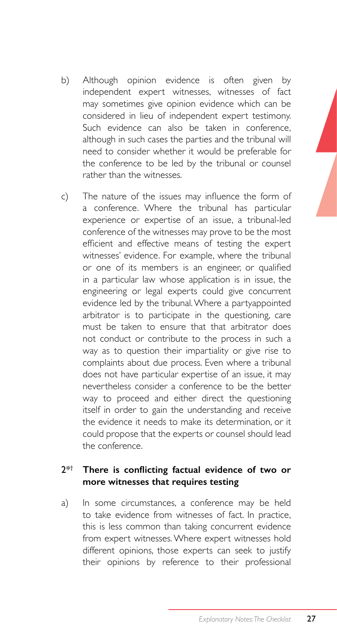- b) Although opinion evidence is often given by independent expert witnesses, witnesses of fact may sometimes give opinion evidence which can be considered in lieu of independent expert testimony. Such evidence can also be taken in conference, although in such cases the parties and the tribunal will need to consider whether it would be preferable for the conference to be led by the tribunal or counsel rather than the witnesses.
- c) The nature of the issues may influence the form of a conference. Where the tribunal has particular experience or expertise of an issue, a tribunal-led conference of the witnesses may prove to be the most efficient and effective means of testing the expert witnesses' evidence. For example, where the tribunal or one of its members is an engineer, or qualified in a particular law whose application is in issue, the engineering or legal experts could give concurrent evidence led by the tribunal. Where a partyappointed arbitrator is to participate in the questioning, care must be taken to ensure that that arbitrator does not conduct or contribute to the process in such a way as to question their impartiality or give rise to complaints about due process. Even where a tribunal does not have particular expertise of an issue, it may nevertheless consider a conference to be the better way to proceed and either direct the questioning itself in order to gain the understanding and receive the evidence it needs to make its determination, or it could propose that the experts or counsel should lead the conference.

#### 2\*† **There is conflicting factual evidence of two or more witnesses that requires testing**

a) In some circumstances, a conference may be held to take evidence from witnesses of fact. In practice, this is less common than taking concurrent evidence from expert witnesses. Where expert witnesses hold different opinions, those experts can seek to justify their opinions by reference to their professional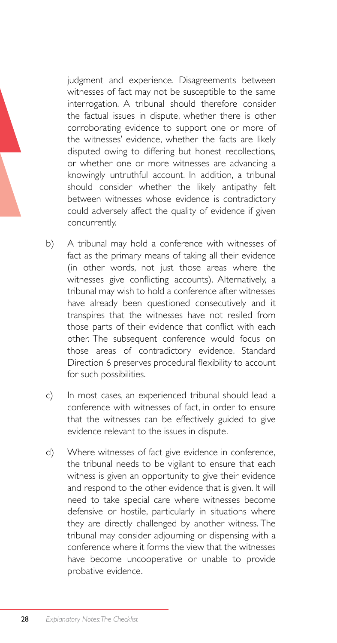judgment and experience. Disagreements between witnesses of fact may not be susceptible to the same interrogation. A tribunal should therefore consider the factual issues in dispute, whether there is other corroborating evidence to support one or more of the witnesses' evidence, whether the facts are likely disputed owing to differing but honest recollections, or whether one or more witnesses are advancing a knowingly untruthful account. In addition, a tribunal should consider whether the likely antipathy felt between witnesses whose evidence is contradictory could adversely affect the quality of evidence if given concurrently.

- b) A tribunal may hold a conference with witnesses of fact as the primary means of taking all their evidence (in other words, not just those areas where the witnesses give conflicting accounts). Alternatively, a tribunal may wish to hold a conference after witnesses have already been questioned consecutively and it transpires that the witnesses have not resiled from those parts of their evidence that conflict with each other. The subsequent conference would focus on those areas of contradictory evidence. Standard Direction 6 preserves procedural flexibility to account for such possibilities.
- c) In most cases, an experienced tribunal should lead a conference with witnesses of fact, in order to ensure that the witnesses can be effectively guided to give evidence relevant to the issues in dispute.
- d) Where witnesses of fact give evidence in conference, the tribunal needs to be vigilant to ensure that each witness is given an opportunity to give their evidence and respond to the other evidence that is given. It will need to take special care where witnesses become defensive or hostile, particularly in situations where they are directly challenged by another witness. The tribunal may consider adjourning or dispensing with a conference where it forms the view that the witnesses have become uncooperative or unable to provide probative evidence.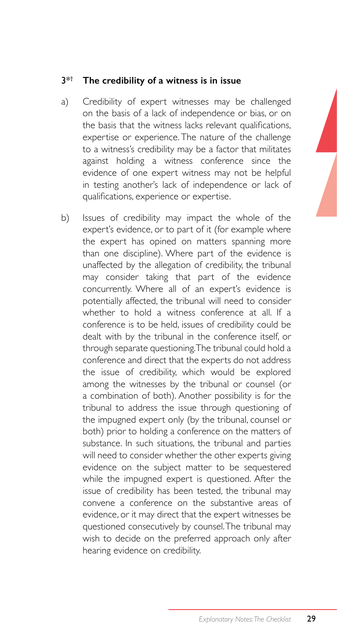#### 3\*† **The credibility of a witness is in issue**

- a) Credibility of expert witnesses may be challenged on the basis of a lack of independence or bias, or on the basis that the witness lacks relevant qualifications, expertise or experience. The nature of the challenge to a witness's credibility may be a factor that militates against holding a witness conference since the evidence of one expert witness may not be helpful in testing another's lack of independence or lack of qualifications, experience or expertise.
- b) Issues of credibility may impact the whole of the expert's evidence, or to part of it (for example where the expert has opined on matters spanning more than one discipline). Where part of the evidence is unaffected by the allegation of credibility, the tribunal may consider taking that part of the evidence concurrently. Where all of an expert's evidence is potentially affected, the tribunal will need to consider whether to hold a witness conference at all. If a conference is to be held, issues of credibility could be dealt with by the tribunal in the conference itself, or through separate questioning. The tribunal could hold a conference and direct that the experts do not address the issue of credibility, which would be explored among the witnesses by the tribunal or counsel (or a combination of both). Another possibility is for the tribunal to address the issue through questioning of the impugned expert only (by the tribunal, counsel or both) prior to holding a conference on the matters of substance. In such situations, the tribunal and parties will need to consider whether the other experts giving evidence on the subject matter to be sequestered while the impugned expert is questioned. After the issue of credibility has been tested, the tribunal may convene a conference on the substantive areas of evidence, or it may direct that the expert witnesses be questioned consecutively by counsel. The tribunal may wish to decide on the preferred approach only after hearing evidence on credibility.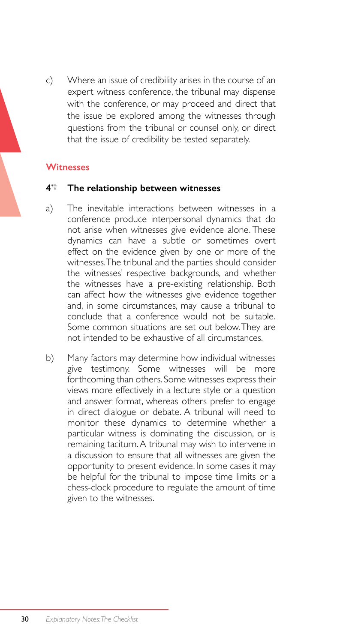c) Where an issue of credibility arises in the course of an expert witness conference, the tribunal may dispense with the conference, or may proceed and direct that the issue be explored among the witnesses through questions from the tribunal or counsel only, or direct that the issue of credibility be tested separately.

#### **Witnesses**

#### **4\*† The relationship between witnesses**

- a) The inevitable interactions between witnesses in a conference produce interpersonal dynamics that do not arise when witnesses give evidence alone. These dynamics can have a subtle or sometimes overt effect on the evidence given by one or more of the witnesses. The tribunal and the parties should consider the witnesses' respective backgrounds, and whether the witnesses have a pre-existing relationship. Both can affect how the witnesses give evidence together and, in some circumstances, may cause a tribunal to conclude that a conference would not be suitable. Some common situations are set out below. They are not intended to be exhaustive of all circumstances.
- b) Many factors may determine how individual witnesses give testimony. Some witnesses will be more forthcoming than others. Some witnesses express their views more effectively in a lecture style or a question and answer format, whereas others prefer to engage in direct dialogue or debate. A tribunal will need to monitor these dynamics to determine whether a particular witness is dominating the discussion, or is remaining taciturn. A tribunal may wish to intervene in a discussion to ensure that all witnesses are given the opportunity to present evidence. In some cases it may be helpful for the tribunal to impose time limits or a chess-clock procedure to regulate the amount of time given to the witnesses.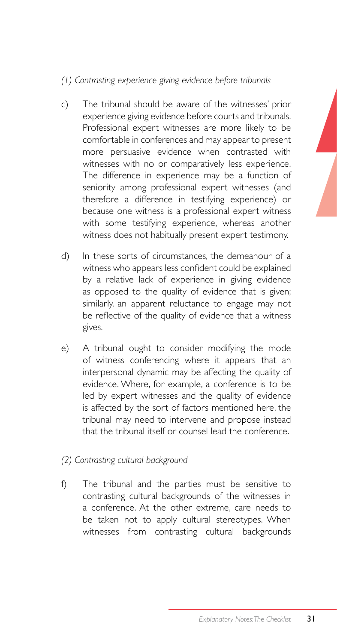### *(1) Contrasting experience giving evidence before tribunals*

- c) The tribunal should be aware of the witnesses' prior experience giving evidence before courts and tribunals. Professional expert witnesses are more likely to be comfortable in conferences and may appear to present more persuasive evidence when contrasted with witnesses with no or comparatively less experience. The difference in experience may be a function of seniority among professional expert witnesses (and therefore a difference in testifying experience) or because one witness is a professional expert witness with some testifying experience, whereas another witness does not habitually present expert testimony.
- d) In these sorts of circumstances, the demeanour of a witness who appears less confident could be explained by a relative lack of experience in giving evidence as opposed to the quality of evidence that is given; similarly, an apparent reluctance to engage may not be reflective of the quality of evidence that a witness gives.
- e) A tribunal ought to consider modifying the mode of witness conferencing where it appears that an interpersonal dynamic may be affecting the quality of evidence. Where, for example, a conference is to be led by expert witnesses and the quality of evidence is affected by the sort of factors mentioned here, the tribunal may need to intervene and propose instead that the tribunal itself or counsel lead the conference.
- *(2) Contrasting cultural background*
- f) The tribunal and the parties must be sensitive to contrasting cultural backgrounds of the witnesses in a conference. At the other extreme, care needs to be taken not to apply cultural stereotypes. When witnesses from contrasting cultural backgrounds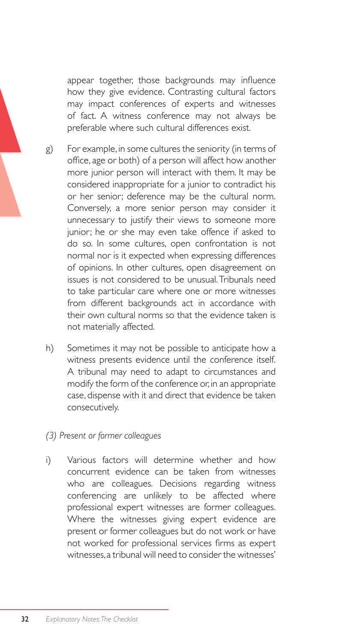appear together, those backgrounds may influence how they give evidence. Contrasting cultural factors may impact conferences of experts and witnesses of fact. A witness conference may not always be preferable where such cultural differences exist.

- g) For example, in some cultures the seniority (in terms of office, age or both) of a person will affect how another more junior person will interact with them. It may be considered inappropriate for a junior to contradict his or her senior; deference may be the cultural norm. Conversely, a more senior person may consider it unnecessary to justify their views to someone more junior; he or she may even take offence if asked to do so. In some cultures, open confrontation is not normal nor is it expected when expressing differences of opinions. In other cultures, open disagreement on issues is not considered to be unusual. Tribunals need to take particular care where one or more witnesses from different backgrounds act in accordance with their own cultural norms so that the evidence taken is not materially affected.
- h) Sometimes it may not be possible to anticipate how a witness presents evidence until the conference itself. A tribunal may need to adapt to circumstances and modify the form of the conference or, in an appropriate case, dispense with it and direct that evidence be taken consecutively.
- *(3) Present or former colleagues*
- i) Various factors will determine whether and how concurrent evidence can be taken from witnesses who are colleagues. Decisions regarding witness conferencing are unlikely to be affected where professional expert witnesses are former colleagues. Where the witnesses giving expert evidence are present or former colleagues but do not work or have not worked for professional services firms as expert witnesses, a tribunal will need to consider the witnesses'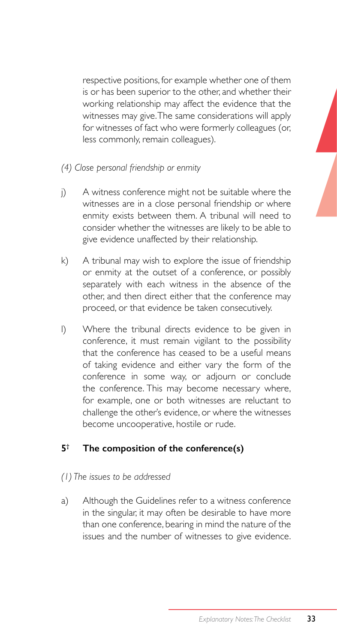respective positions, for example whether one of them is or has been superior to the other, and whether their working relationship may affect the evidence that the witnesses may give. The same considerations will apply for witnesses of fact who were formerly colleagues (or, less commonly, remain colleagues).

- *(4) Close personal friendship or enmity*
- j) A witness conference might not be suitable where the witnesses are in a close personal friendship or where enmity exists between them. A tribunal will need to consider whether the witnesses are likely to be able to give evidence unaffected by their relationship.
- k) A tribunal may wish to explore the issue of friendship or enmity at the outset of a conference, or possibly separately with each witness in the absence of the other, and then direct either that the conference may proceed, or that evidence be taken consecutively.
- l) Where the tribunal directs evidence to be given in conference, it must remain vigilant to the possibility that the conference has ceased to be a useful means of taking evidence and either vary the form of the conference in some way, or adjourn or conclude the conference. This may become necessary where, for example, one or both witnesses are reluctant to challenge the other's evidence, or where the witnesses become uncooperative, hostile or rude.

### **5† The composition of the conference(s)**

#### *(1) The issues to be addressed*

a) Although the Guidelines refer to a witness conference in the singular, it may often be desirable to have more than one conference, bearing in mind the nature of the issues and the number of witnesses to give evidence.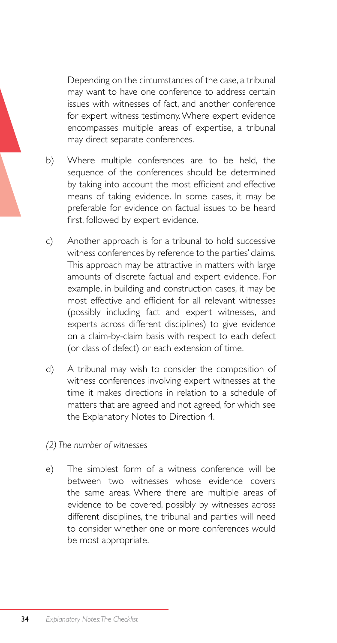Depending on the circumstances of the case, a tribunal may want to have one conference to address certain issues with witnesses of fact, and another conference for expert witness testimony. Where expert evidence encompasses multiple areas of expertise, a tribunal may direct separate conferences.

- b) Where multiple conferences are to be held, the sequence of the conferences should be determined by taking into account the most efficient and effective means of taking evidence. In some cases, it may be preferable for evidence on factual issues to be heard first, followed by expert evidence.
- c) Another approach is for a tribunal to hold successive witness conferences by reference to the parties' claims. This approach may be attractive in matters with large amounts of discrete factual and expert evidence. For example, in building and construction cases, it may be most effective and efficient for all relevant witnesses (possibly including fact and expert witnesses, and experts across different disciplines) to give evidence on a claim-by-claim basis with respect to each defect (or class of defect) or each extension of time.
- d) A tribunal may wish to consider the composition of witness conferences involving expert witnesses at the time it makes directions in relation to a schedule of matters that are agreed and not agreed, for which see the Explanatory Notes to Direction 4.
- *(2) The number of witnesses*
- e) The simplest form of a witness conference will be between two witnesses whose evidence covers the same areas. Where there are multiple areas of evidence to be covered, possibly by witnesses across different disciplines, the tribunal and parties will need to consider whether one or more conferences would be most appropriate.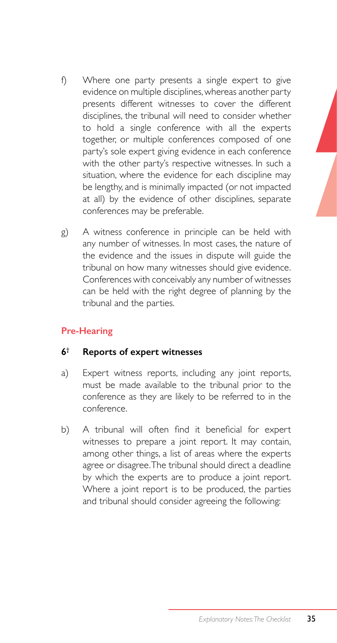- f) Where one party presents a single expert to give evidence on multiple disciplines, whereas another party presents different witnesses to cover the different disciplines, the tribunal will need to consider whether to hold a single conference with all the experts together, or multiple conferences composed of one party's sole expert giving evidence in each conference with the other party's respective witnesses. In such a situation, where the evidence for each discipline may be lengthy, and is minimally impacted (or not impacted at all) by the evidence of other disciplines, separate conferences may be preferable.
- g) A witness conference in principle can be held with any number of witnesses. In most cases, the nature of the evidence and the issues in dispute will guide the tribunal on how many witnesses should give evidence. Conferences with conceivably any number of witnesses can be held with the right degree of planning by the tribunal and the parties.

### **Pre-Hearing**

### **6† Reports of expert witnesses**

- a) Expert witness reports, including any joint reports, must be made available to the tribunal prior to the conference as they are likely to be referred to in the conference.
- b) A tribunal will often find it beneficial for expert witnesses to prepare a joint report. It may contain, among other things, a list of areas where the experts agree or disagree. The tribunal should direct a deadline by which the experts are to produce a joint report. Where a joint report is to be produced, the parties and tribunal should consider agreeing the following: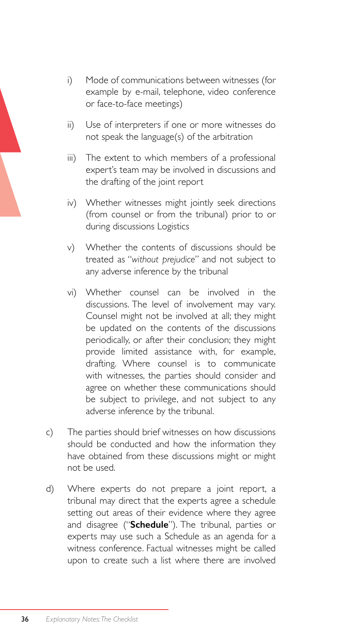- i) Mode of communications between witnesses (for example by e-mail, telephone, video conference or face-to-face meetings)
- ii) Use of interpreters if one or more witnesses do not speak the language(s) of the arbitration
- iii) The extent to which members of a professional expert's team may be involved in discussions and the drafting of the joint report
- iv) Whether witnesses might jointly seek directions (from counsel or from the tribunal) prior to or during discussions Logistics
- v) Whether the contents of discussions should be treated as "*without prejudice*" and not subject to any adverse inference by the tribunal
- vi) Whether counsel can be involved in the discussions. The level of involvement may vary. Counsel might not be involved at all; they might be updated on the contents of the discussions periodically, or after their conclusion; they might provide limited assistance with, for example, drafting. Where counsel is to communicate with witnesses, the parties should consider and agree on whether these communications should be subject to privilege, and not subject to any adverse inference by the tribunal.
- c) The parties should brief witnesses on how discussions should be conducted and how the information they have obtained from these discussions might or might not be used.
- d) Where experts do not prepare a joint report, a tribunal may direct that the experts agree a schedule setting out areas of their evidence where they agree and disagree ("**Schedule**"). The tribunal, parties or experts may use such a Schedule as an agenda for a witness conference. Factual witnesses might be called upon to create such a list where there are involved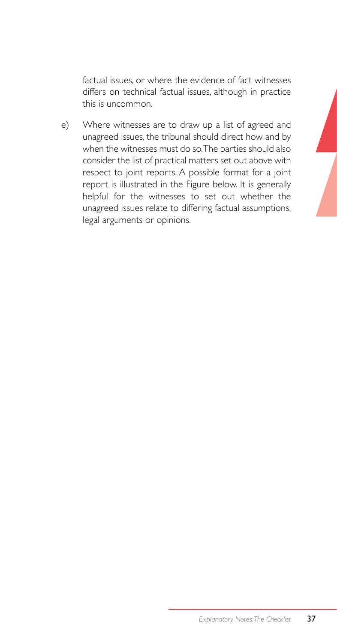factual issues, or where the evidence of fact witnesses differs on technical factual issues, although in practice this is uncommon.

e) Where witnesses are to draw up a list of agreed and unagreed issues, the tribunal should direct how and by when the witnesses must do so. The parties should also consider the list of practical matters set out above with respect to joint reports. A possible format for a joint report is illustrated in the Figure below. It is generally helpful for the witnesses to set out whether the unagreed issues relate to differing factual assumptions, legal arguments or opinions.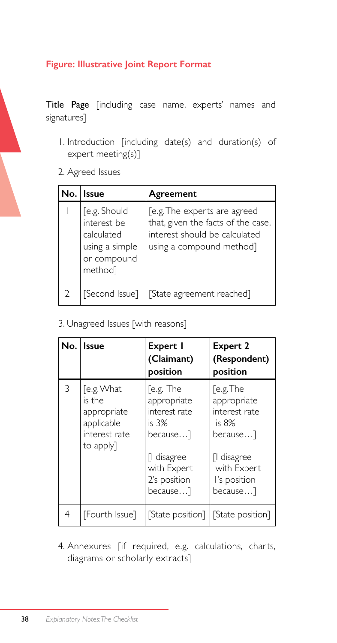## **Figure: Illustrative Joint Report Format**

Title Page [including case name, experts' names and signatures]

- 1. Introduction [including date(s) and duration(s) of expert meeting(s)]
- 2. Agreed Issues

| No. | l Issue                                                                               | Agreement                                                                                                                       |
|-----|---------------------------------------------------------------------------------------|---------------------------------------------------------------------------------------------------------------------------------|
|     | [e.g. Should<br>interest be<br>calculated<br>using a simple<br>or compound<br>methodl | [e.g. The experts are agreed<br>that, given the facts of the case,<br>interest should be calculated<br>using a compound method] |
|     | [Second Issue]                                                                        | [State agreement reached]                                                                                                       |

3. Unagreed Issues [with reasons]

|   | No. Issue                                                                       | Expert I<br>(Claimant)<br>position                                                                                       | <b>Expert 2</b><br>(Respondent)<br>position                                                                                |
|---|---------------------------------------------------------------------------------|--------------------------------------------------------------------------------------------------------------------------|----------------------------------------------------------------------------------------------------------------------------|
| 3 | [e.g. What<br>is the<br>appropriate<br>applicable<br>interest rate<br>to apply] | [e.g. The<br>appropriate<br>interest rate<br>is 3%<br>because]<br>[I disagree<br>with Expert<br>2's position<br>because] | [e.g.The<br>appropriate<br>interest rate<br>is $8%$<br>because]<br>[I disagree<br>with Expert<br>I's position<br>because…] |
| 4 | [Fourth Issue]                                                                  | [State position]                                                                                                         | [State position]                                                                                                           |

4. Annexures [if required, e.g. calculations, charts, diagrams or scholarly extracts]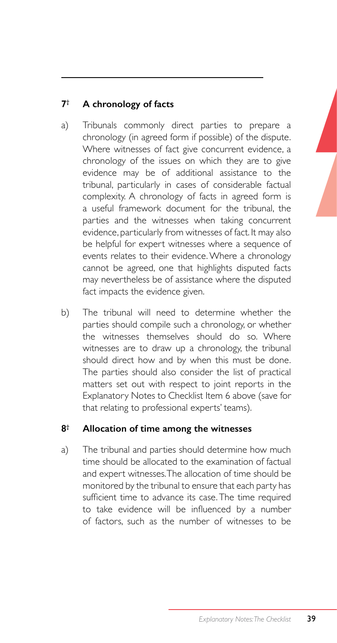## **7† A chronology of facts**

- a) Tribunals commonly direct parties to prepare a chronology (in agreed form if possible) of the dispute. Where witnesses of fact give concurrent evidence, a chronology of the issues on which they are to give evidence may be of additional assistance to the tribunal, particularly in cases of considerable factual complexity. A chronology of facts in agreed form is a useful framework document for the tribunal, the parties and the witnesses when taking concurrent evidence, particularly from witnesses of fact. It may also be helpful for expert witnesses where a sequence of events relates to their evidence. Where a chronology cannot be agreed, one that highlights disputed facts may nevertheless be of assistance where the disputed fact impacts the evidence given.
- b) The tribunal will need to determine whether the parties should compile such a chronology, or whether the witnesses themselves should do so. Where witnesses are to draw up a chronology, the tribunal should direct how and by when this must be done. The parties should also consider the list of practical matters set out with respect to joint reports in the Explanatory Notes to Checklist Item 6 above (save for that relating to professional experts' teams).

### **8† Allocation of time among the witnesses**

a) The tribunal and parties should determine how much time should be allocated to the examination of factual and expert witnesses. The allocation of time should be monitored by the tribunal to ensure that each party has sufficient time to advance its case. The time required to take evidence will be influenced by a number of factors, such as the number of witnesses to be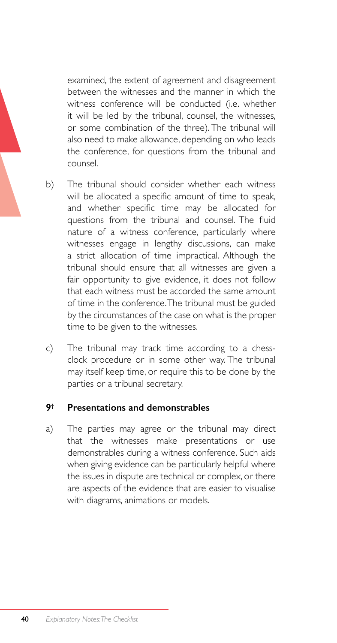examined, the extent of agreement and disagreement between the witnesses and the manner in which the witness conference will be conducted (i.e. whether it will be led by the tribunal, counsel, the witnesses, or some combination of the three). The tribunal will also need to make allowance, depending on who leads the conference, for questions from the tribunal and counsel.

- b) The tribunal should consider whether each witness will be allocated a specific amount of time to speak, and whether specific time may be allocated for questions from the tribunal and counsel. The fluid nature of a witness conference, particularly where witnesses engage in lengthy discussions, can make a strict allocation of time impractical. Although the tribunal should ensure that all witnesses are given a fair opportunity to give evidence, it does not follow that each witness must be accorded the same amount of time in the conference. The tribunal must be guided by the circumstances of the case on what is the proper time to be given to the witnesses.
- c) The tribunal may track time according to a chessclock procedure or in some other way. The tribunal may itself keep time, or require this to be done by the parties or a tribunal secretary.

#### **9† Presentations and demonstrables**

a) The parties may agree or the tribunal may direct that the witnesses make presentations or use demonstrables during a witness conference. Such aids when giving evidence can be particularly helpful where the issues in dispute are technical or complex, or there are aspects of the evidence that are easier to visualise with diagrams, animations or models.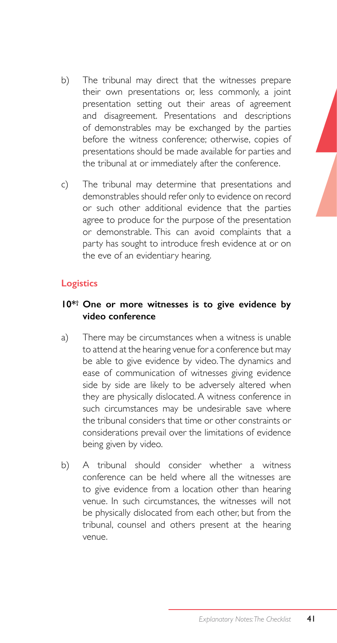- b) The tribunal may direct that the witnesses prepare their own presentations or, less commonly, a joint presentation setting out their areas of agreement and disagreement. Presentations and descriptions of demonstrables may be exchanged by the parties before the witness conference; otherwise, copies of presentations should be made available for parties and the tribunal at or immediately after the conference.
- c) The tribunal may determine that presentations and demonstrables should refer only to evidence on record or such other additional evidence that the parties agree to produce for the purpose of the presentation or demonstrable. This can avoid complaints that a party has sought to introduce fresh evidence at or on the eve of an evidentiary hearing.

#### **Logistics**

#### **10\*† One or more witnesses is to give evidence by video conference**

- a) There may be circumstances when a witness is unable to attend at the hearing venue for a conference but may be able to give evidence by video. The dynamics and ease of communication of witnesses giving evidence side by side are likely to be adversely altered when they are physically dislocated. A witness conference in such circumstances may be undesirable save where the tribunal considers that time or other constraints or considerations prevail over the limitations of evidence being given by video.
- b) A tribunal should consider whether a witness conference can be held where all the witnesses are to give evidence from a location other than hearing venue. In such circumstances, the witnesses will not be physically dislocated from each other, but from the tribunal, counsel and others present at the hearing venue.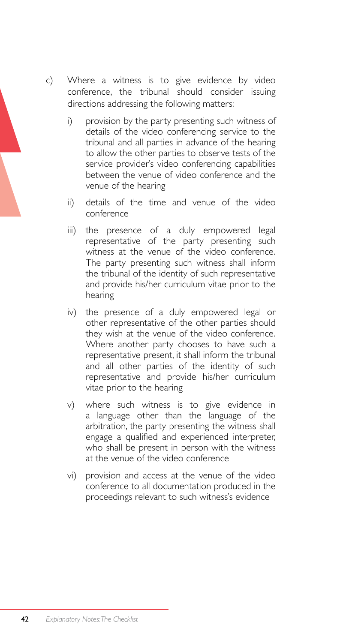- c) Where a witness is to give evidence by video conference, the tribunal should consider issuing directions addressing the following matters:
	- i) provision by the party presenting such witness of details of the video conferencing service to the tribunal and all parties in advance of the hearing to allow the other parties to observe tests of the service provider's video conferencing capabilities between the venue of video conference and the venue of the hearing
	- ii) details of the time and venue of the video conference
	- iii) the presence of a duly empowered legal representative of the party presenting such witness at the venue of the video conference. The party presenting such witness shall inform the tribunal of the identity of such representative and provide his/her curriculum vitae prior to the hearing
	- iv) the presence of a duly empowered legal or other representative of the other parties should they wish at the venue of the video conference. Where another party chooses to have such a representative present, it shall inform the tribunal and all other parties of the identity of such representative and provide his/her curriculum vitae prior to the hearing
	- v) where such witness is to give evidence in a language other than the language of the arbitration, the party presenting the witness shall engage a qualified and experienced interpreter, who shall be present in person with the witness at the venue of the video conference
	- vi) provision and access at the venue of the video conference to all documentation produced in the proceedings relevant to such witness's evidence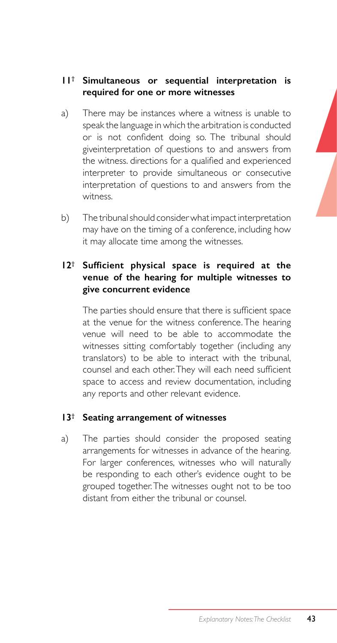- a) There may be instances where a witness is unable to speak the language in which the arbitration is conducted or is not confident doing so. The tribunal should giveinterpretation of questions to and answers from the witness. directions for a qualified and experienced interpreter to provide simultaneous or consecutive interpretation of questions to and answers from the witness.
- b) The tribunal should consider what impact interpretation may have on the timing of a conference, including how it may allocate time among the witnesses.

### **12† Sufficient physical space is required at the venue of the hearing for multiple witnesses to give concurrent evidence**

 The parties should ensure that there is sufficient space at the venue for the witness conference. The hearing venue will need to be able to accommodate the witnesses sitting comfortably together (including any translators) to be able to interact with the tribunal, counsel and each other.They will each need sufficient space to access and review documentation, including any reports and other relevant evidence.

### **13† Seating arrangement of witnesses**

a) The parties should consider the proposed seating arrangements for witnesses in advance of the hearing. For larger conferences, witnesses who will naturally be responding to each other's evidence ought to be grouped together. The witnesses ought not to be too distant from either the tribunal or counsel.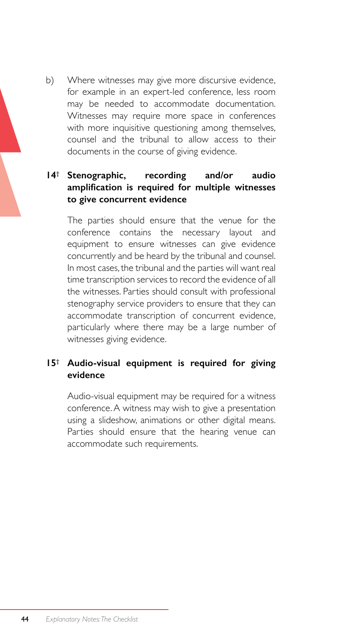b) Where witnesses may give more discursive evidence, for example in an expert-led conference, less room may be needed to accommodate documentation. Witnesses may require more space in conferences with more inquisitive questioning among themselves, counsel and the tribunal to allow access to their documents in the course of giving evidence.

### **14† Stenographic, recording and/or audio amplification is required for multiple witnesses to give concurrent evidence**

The parties should ensure that the venue for the conference contains the necessary layout and equipment to ensure witnesses can give evidence concurrently and be heard by the tribunal and counsel. In most cases, the tribunal and the parties will want real time transcription services to record the evidence of all the witnesses. Parties should consult with professional stenography service providers to ensure that they can accommodate transcription of concurrent evidence, particularly where there may be a large number of witnesses giving evidence.

### **15† Audio-visual equipment is required for giving evidence**

Audio-visual equipment may be required for a witness conference. A witness may wish to give a presentation using a slideshow, animations or other digital means. Parties should ensure that the hearing venue can accommodate such requirements.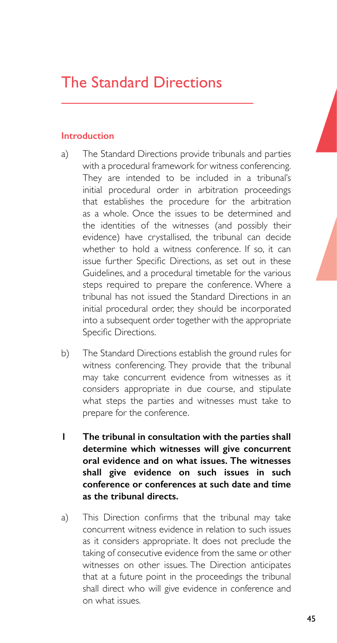# The Standard Directions

#### **Introduction**

- a) The Standard Directions provide tribunals and parties with a procedural framework for witness conferencing. They are intended to be included in a tribunal's initial procedural order in arbitration proceedings that establishes the procedure for the arbitration as a whole. Once the issues to be determined and the identities of the witnesses (and possibly their evidence) have crystallised, the tribunal can decide whether to hold a witness conference. If so, it can issue further Specific Directions, as set out in these Guidelines, and a procedural timetable for the various steps required to prepare the conference. Where a tribunal has not issued the Standard Directions in an initial procedural order, they should be incorporated into a subsequent order together with the appropriate Specific Directions.
- b) The Standard Directions establish the ground rules for witness conferencing. They provide that the tribunal may take concurrent evidence from witnesses as it considers appropriate in due course, and stipulate what steps the parties and witnesses must take to prepare for the conference.
- **1 The tribunal in consultation with the parties shall determine which witnesses will give concurrent oral evidence and on what issues. The witnesses shall give evidence on such issues in such conference or conferences at such date and time as the tribunal directs.**
- a) This Direction confirms that the tribunal may take concurrent witness evidence in relation to such issues as it considers appropriate. It does not preclude the taking of consecutive evidence from the same or other witnesses on other issues. The Direction anticipates that at a future point in the proceedings the tribunal shall direct who will give evidence in conference and on what issues.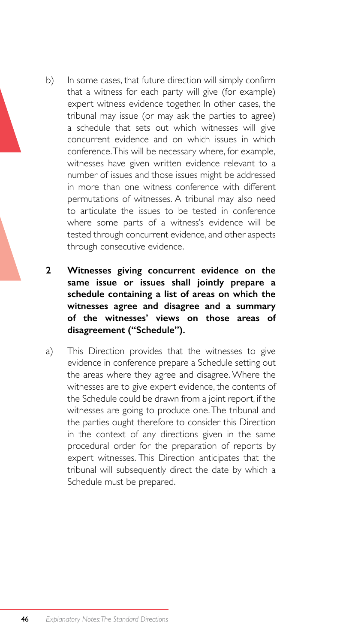- b) In some cases, that future direction will simply confirm that a witness for each party will give (for example) expert witness evidence together. In other cases, the tribunal may issue (or may ask the parties to agree) a schedule that sets out which witnesses will give concurrent evidence and on which issues in which conference. This will be necessary where, for example, witnesses have given written evidence relevant to a number of issues and those issues might be addressed in more than one witness conference with different permutations of witnesses. A tribunal may also need to articulate the issues to be tested in conference where some parts of a witness's evidence will be tested through concurrent evidence, and other aspects through consecutive evidence.
- **2 Witnesses giving concurrent evidence on the same issue or issues shall jointly prepare a schedule containing a list of areas on which the witnesses agree and disagree and a summary of the witnesses' views on those areas of disagreement ("Schedule").**
- a) This Direction provides that the witnesses to give evidence in conference prepare a Schedule setting out the areas where they agree and disagree. Where the witnesses are to give expert evidence, the contents of the Schedule could be drawn from a joint report, if the witnesses are going to produce one. The tribunal and the parties ought therefore to consider this Direction in the context of any directions given in the same procedural order for the preparation of reports by expert witnesses. This Direction anticipates that the tribunal will subsequently direct the date by which a Schedule must be prepared.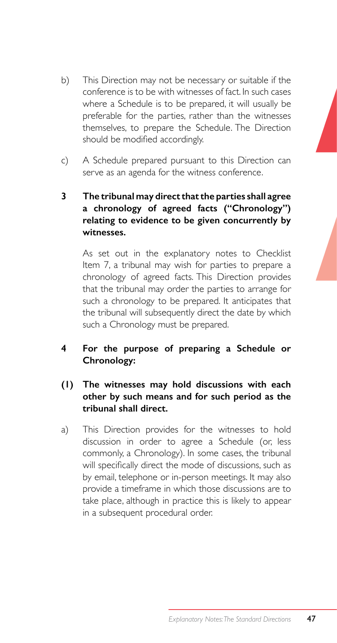- b) This Direction may not be necessary or suitable if the conference is to be with witnesses of fact. In such cases where a Schedule is to be prepared, it will usually be preferable for the parties, rather than the witnesses themselves, to prepare the Schedule. The Direction should be modified accordingly.
- c) A Schedule prepared pursuant to this Direction can serve as an agenda for the witness conference.

### **3 The tribunal may direct that the parties shall agree a chronology of agreed facts ("Chronology") relating to evidence to be given concurrently by witnesses.**

As set out in the explanatory notes to Checklist Item 7, a tribunal may wish for parties to prepare a chronology of agreed facts. This Direction provides that the tribunal may order the parties to arrange for such a chronology to be prepared. It anticipates that the tribunal will subsequently direct the date by which such a Chronology must be prepared.

### **4 For the purpose of preparing a Schedule or Chronology:**

### **(1) The witnesses may hold discussions with each other by such means and for such period as the tribunal shall direct.**

a) This Direction provides for the witnesses to hold discussion in order to agree a Schedule (or, less commonly, a Chronology). In some cases, the tribunal will specifically direct the mode of discussions, such as by email, telephone or in-person meetings. It may also provide a timeframe in which those discussions are to take place, although in practice this is likely to appear in a subsequent procedural order.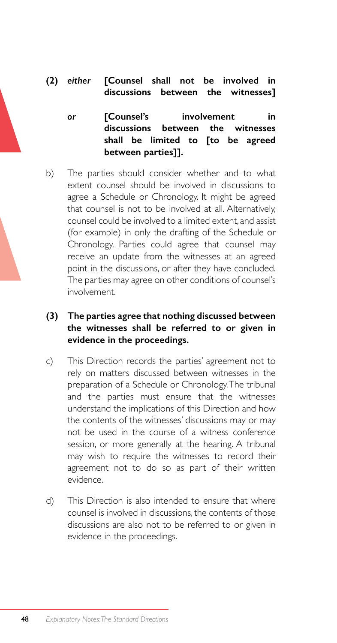**(2)** *either* **[Counsel shall not be involved in discussions between the witnesses]**

*or* **[Counsel's involvement in discussions between the witnesses shall be limited to [to be agreed between parties]].**

b) The parties should consider whether and to what extent counsel should be involved in discussions to agree a Schedule or Chronology. It might be agreed that counsel is not to be involved at all. Alternatively, counsel could be involved to a limited extent, and assist (for example) in only the drafting of the Schedule or Chronology. Parties could agree that counsel may receive an update from the witnesses at an agreed point in the discussions, or after they have concluded. The parties may agree on other conditions of counsel's involvement.

#### **(3) The parties agree that nothing discussed between the witnesses shall be referred to or given in evidence in the proceedings.**

- c) This Direction records the parties' agreement not to rely on matters discussed between witnesses in the preparation of a Schedule or Chronology. The tribunal and the parties must ensure that the witnesses understand the implications of this Direction and how the contents of the witnesses' discussions may or may not be used in the course of a witness conference session, or more generally at the hearing. A tribunal may wish to require the witnesses to record their agreement not to do so as part of their written evidence.
- d) This Direction is also intended to ensure that where counsel is involved in discussions, the contents of those discussions are also not to be referred to or given in evidence in the proceedings.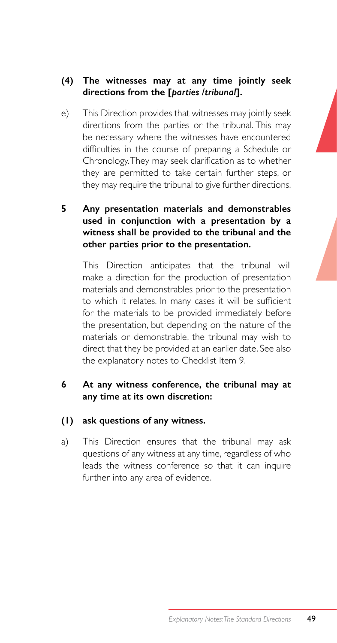### **(4) The witnesses may at any time jointly seek directions from the [***parties /tribunal***].**

e) This Direction provides that witnesses may jointly seek directions from the parties or the tribunal. This may be necessary where the witnesses have encountered difficulties in the course of preparing a Schedule or Chronology.They may seek clarification as to whether they are permitted to take certain further steps, or they may require the tribunal to give further directions.

### **5 Any presentation materials and demonstrables used in conjunction with a presentation by a witness shall be provided to the tribunal and the other parties prior to the presentation.**

This Direction anticipates that the tribunal will make a direction for the production of presentation materials and demonstrables prior to the presentation to which it relates. In many cases it will be sufficient for the materials to be provided immediately before the presentation, but depending on the nature of the materials or demonstrable, the tribunal may wish to direct that they be provided at an earlier date. See also the explanatory notes to Checklist Item 9.

#### **6 At any witness conference, the tribunal may at any time at its own discretion:**

#### **(1) ask questions of any witness.**

a) This Direction ensures that the tribunal may ask questions of any witness at any time, regardless of who leads the witness conference so that it can inquire further into any area of evidence.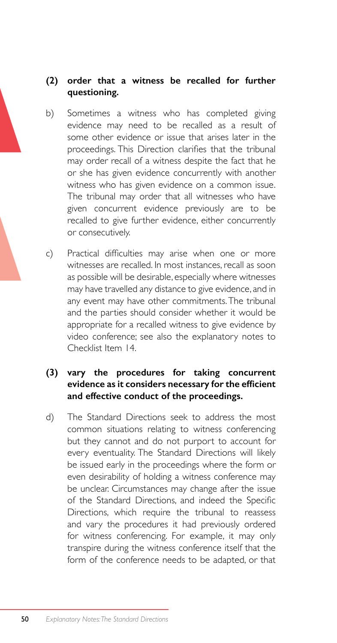### **(2) order that a witness be recalled for further questioning.**

- b) Sometimes a witness who has completed giving evidence may need to be recalled as a result of some other evidence or issue that arises later in the proceedings. This Direction clarifies that the tribunal may order recall of a witness despite the fact that he or she has given evidence concurrently with another witness who has given evidence on a common issue. The tribunal may order that all witnesses who have given concurrent evidence previously are to be recalled to give further evidence, either concurrently or consecutively.
- c) Practical difficulties may arise when one or more witnesses are recalled. In most instances, recall as soon as possible will be desirable, especially where witnesses may have travelled any distance to give evidence, and in any event may have other commitments. The tribunal and the parties should consider whether it would be appropriate for a recalled witness to give evidence by video conference; see also the explanatory notes to Checklist Item 14.

#### **(3) vary the procedures for taking concurrent evidence as it considers necessary for the efficient and effective conduct of the proceedings.**

d) The Standard Directions seek to address the most common situations relating to witness conferencing but they cannot and do not purport to account for every eventuality. The Standard Directions will likely be issued early in the proceedings where the form or even desirability of holding a witness conference may be unclear. Circumstances may change after the issue of the Standard Directions, and indeed the Specific Directions, which require the tribunal to reassess and vary the procedures it had previously ordered for witness conferencing. For example, it may only transpire during the witness conference itself that the form of the conference needs to be adapted, or that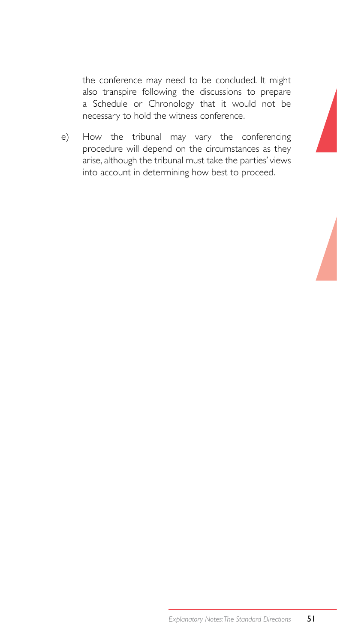the conference may need to be concluded. It might also transpire following the discussions to prepare a Schedule or Chronology that it would not be necessary to hold the witness conference.

e) How the tribunal may vary the conferencing procedure will depend on the circumstances as they arise, although the tribunal must take the parties' views into account in determining how best to proceed.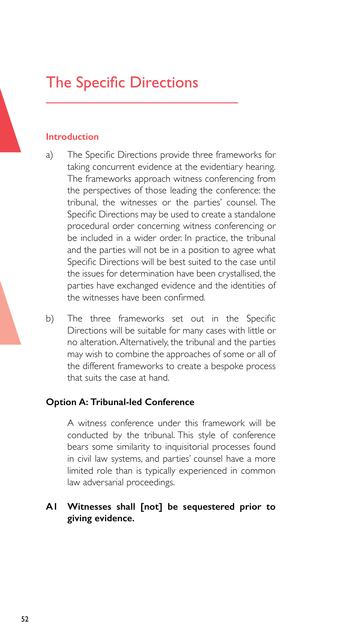# The Specific Directions

#### **Introduction**

- a) The Specific Directions provide three frameworks for taking concurrent evidence at the evidentiary hearing. The frameworks approach witness conferencing from the perspectives of those leading the conference: the tribunal, the witnesses or the parties' counsel. The Specific Directions may be used to create a standalone procedural order concerning witness conferencing or be included in a wider order. In practice, the tribunal and the parties will not be in a position to agree what Specific Directions will be best suited to the case until the issues for determination have been crystallised, the parties have exchanged evidence and the identities of the witnesses have been confirmed.
- b) The three frameworks set out in the Specific Directions will be suitable for many cases with little or no alteration. Alternatively, the tribunal and the parties may wish to combine the approaches of some or all of the different frameworks to create a bespoke process that suits the case at hand.

#### **Option A: Tribunal-led Conference**

A witness conference under this framework will be conducted by the tribunal. This style of conference bears some similarity to inquisitorial processes found in civil law systems, and parties' counsel have a more limited role than is typically experienced in common law adversarial proceedings.

#### **A1 Witnesses shall [not] be sequestered prior to giving evidence.**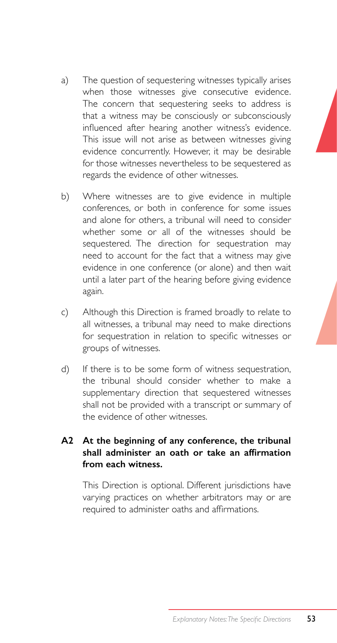- a) The question of sequestering witnesses typically arises when those witnesses give consecutive evidence. The concern that sequestering seeks to address is that a witness may be consciously or subconsciously influenced after hearing another witness's evidence. This issue will not arise as between witnesses giving evidence concurrently. However, it may be desirable for those witnesses nevertheless to be sequestered as regards the evidence of other witnesses.
- b) Where witnesses are to give evidence in multiple conferences, or both in conference for some issues and alone for others, a tribunal will need to consider whether some or all of the witnesses should be sequestered. The direction for sequestration may need to account for the fact that a witness may give evidence in one conference (or alone) and then wait until a later part of the hearing before giving evidence again.
- c) Although this Direction is framed broadly to relate to all witnesses, a tribunal may need to make directions for sequestration in relation to specific witnesses or groups of witnesses.
- d) If there is to be some form of witness sequestration, the tribunal should consider whether to make a supplementary direction that sequestered witnesses shall not be provided with a transcript or summary of the evidence of other witnesses.

#### **A2 At the beginning of any conference, the tribunal shall administer an oath or take an affirmation from each witness.**

This Direction is optional. Different jurisdictions have varying practices on whether arbitrators may or are required to administer oaths and affirmations.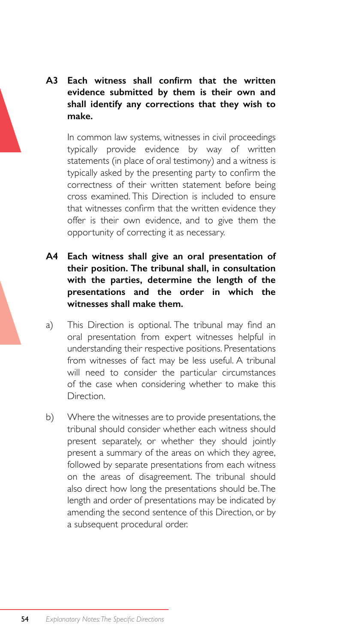### **A3 Each witness shall confirm that the written evidence submitted by them is their own and shall identify any corrections that they wish to make.**

In common law systems, witnesses in civil proceedings typically provide evidence by way of written statements (in place of oral testimony) and a witness is typically asked by the presenting party to confirm the correctness of their written statement before being cross examined. This Direction is included to ensure that witnesses confirm that the written evidence they offer is their own evidence, and to give them the opportunity of correcting it as necessary.

- **A4 Each witness shall give an oral presentation of their position. The tribunal shall, in consultation with the parties, determine the length of the presentations and the order in which the witnesses shall make them.**
- a) This Direction is optional. The tribunal may find an oral presentation from expert witnesses helpful in understanding their respective positions. Presentations from witnesses of fact may be less useful. A tribunal will need to consider the particular circumstances of the case when considering whether to make this **Direction**
- b) Where the witnesses are to provide presentations, the tribunal should consider whether each witness should present separately, or whether they should jointly present a summary of the areas on which they agree, followed by separate presentations from each witness on the areas of disagreement. The tribunal should also direct how long the presentations should be. The length and order of presentations may be indicated by amending the second sentence of this Direction, or by a subsequent procedural order.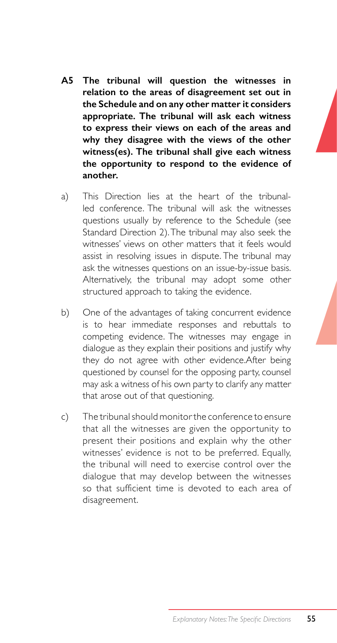- **A5 The tribunal will question the witnesses in relation to the areas of disagreement set out in the Schedule and on any other matter it considers appropriate. The tribunal will ask each witness to express their views on each of the areas and why they disagree with the views of the other witness(es). The tribunal shall give each witness the opportunity to respond to the evidence of another.**
- a) This Direction lies at the heart of the tribunalled conference. The tribunal will ask the witnesses questions usually by reference to the Schedule (see Standard Direction 2).The tribunal may also seek the witnesses' views on other matters that it feels would assist in resolving issues in dispute. The tribunal may ask the witnesses questions on an issue-by-issue basis. Alternatively, the tribunal may adopt some other structured approach to taking the evidence.
- b) One of the advantages of taking concurrent evidence is to hear immediate responses and rebuttals to competing evidence. The witnesses may engage in dialogue as they explain their positions and justify why they do not agree with other evidence.After being questioned by counsel for the opposing party, counsel may ask a witness of his own party to clarify any matter that arose out of that questioning.
- c) The tribunal should monitor the conference to ensure that all the witnesses are given the opportunity to present their positions and explain why the other witnesses' evidence is not to be preferred. Equally, the tribunal will need to exercise control over the dialogue that may develop between the witnesses so that sufficient time is devoted to each area of disagreement.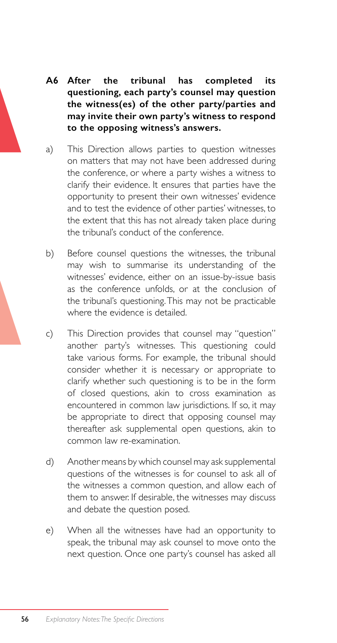- **A6 After the tribunal has completed its questioning, each party's counsel may question the witness(es) of the other party/parties and may invite their own party's witness to respond to the opposing witness's answers.**
- a) This Direction allows parties to question witnesses on matters that may not have been addressed during the conference, or where a party wishes a witness to clarify their evidence. It ensures that parties have the opportunity to present their own witnesses' evidence and to test the evidence of other parties' witnesses, to the extent that this has not already taken place during the tribunal's conduct of the conference.
- b) Before counsel questions the witnesses, the tribunal may wish to summarise its understanding of the witnesses' evidence, either on an issue-by-issue basis as the conference unfolds, or at the conclusion of the tribunal's questioning. This may not be practicable where the evidence is detailed.
- c) This Direction provides that counsel may "question" another party's witnesses. This questioning could take various forms. For example, the tribunal should consider whether it is necessary or appropriate to clarify whether such questioning is to be in the form of closed questions, akin to cross examination as encountered in common law jurisdictions. If so, it may be appropriate to direct that opposing counsel may thereafter ask supplemental open questions, akin to common law re-examination.
- d) Another means by which counsel may ask supplemental questions of the witnesses is for counsel to ask all of the witnesses a common question, and allow each of them to answer. If desirable, the witnesses may discuss and debate the question posed.
- e) When all the witnesses have had an opportunity to speak, the tribunal may ask counsel to move onto the next question. Once one party's counsel has asked all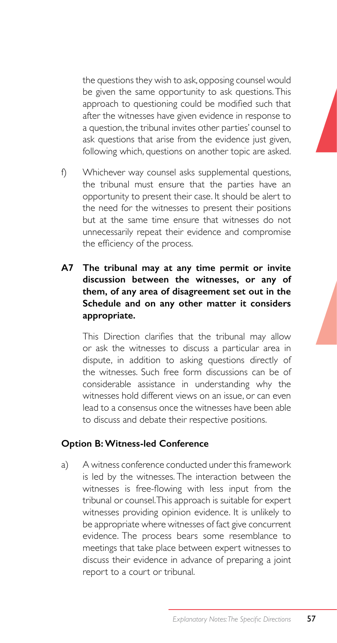the questions they wish to ask, opposing counsel would be given the same opportunity to ask questions. This approach to questioning could be modified such that after the witnesses have given evidence in response to a question, the tribunal invites other parties' counsel to ask questions that arise from the evidence just given, following which, questions on another topic are asked.

- f) Whichever way counsel asks supplemental questions, the tribunal must ensure that the parties have an opportunity to present their case. It should be alert to the need for the witnesses to present their positions but at the same time ensure that witnesses do not unnecessarily repeat their evidence and compromise the efficiency of the process.
- **A7 The tribunal may at any time permit or invite discussion between the witnesses, or any of them, of any area of disagreement set out in the Schedule and on any other matter it considers appropriate.**

 This Direction clarifies that the tribunal may allow or ask the witnesses to discuss a particular area in dispute, in addition to asking questions directly of the witnesses. Such free form discussions can be of considerable assistance in understanding why the witnesses hold different views on an issue, or can even lead to a consensus once the witnesses have been able to discuss and debate their respective positions.

#### **Option B: Witness-led Conference**

a) A witness conference conducted under this framework is led by the witnesses. The interaction between the witnesses is free-flowing with less input from the tribunal or counsel. This approach is suitable for expert witnesses providing opinion evidence. It is unlikely to be appropriate where witnesses of fact give concurrent evidence. The process bears some resemblance to meetings that take place between expert witnesses to discuss their evidence in advance of preparing a joint report to a court or tribunal.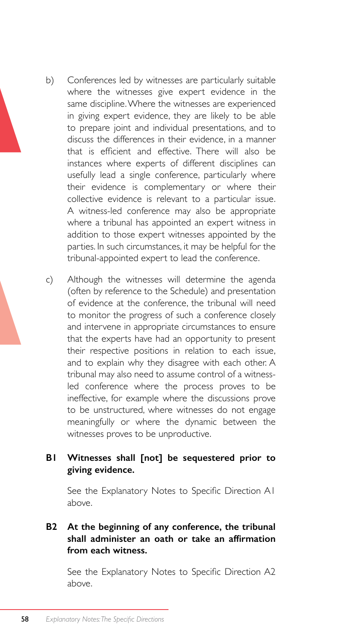- b) Conferences led by witnesses are particularly suitable where the witnesses give expert evidence in the same discipline. Where the witnesses are experienced in giving expert evidence, they are likely to be able to prepare joint and individual presentations, and to discuss the differences in their evidence, in a manner that is efficient and effective. There will also be instances where experts of different disciplines can usefully lead a single conference, particularly where their evidence is complementary or where their collective evidence is relevant to a particular issue. A witness-led conference may also be appropriate where a tribunal has appointed an expert witness in addition to those expert witnesses appointed by the parties. In such circumstances, it may be helpful for the tribunal-appointed expert to lead the conference.
- c) Although the witnesses will determine the agenda (often by reference to the Schedule) and presentation of evidence at the conference, the tribunal will need to monitor the progress of such a conference closely and intervene in appropriate circumstances to ensure that the experts have had an opportunity to present their respective positions in relation to each issue, and to explain why they disagree with each other. A tribunal may also need to assume control of a witnessled conference where the process proves to be ineffective, for example where the discussions prove to be unstructured, where witnesses do not engage meaningfully or where the dynamic between the witnesses proves to be unproductive.

#### **B1 Witnesses shall [not] be sequestered prior to giving evidence.**

 See the Explanatory Notes to Specific Direction A1 above.

#### **B2 At the beginning of any conference, the tribunal shall administer an oath or take an affirmation from each witness.**

 See the Explanatory Notes to Specific Direction A2 above.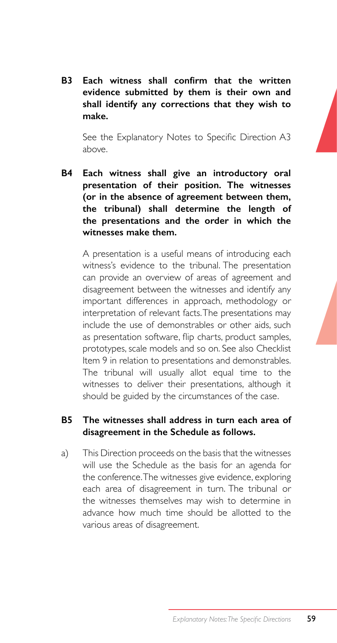**B3 Each witness shall confirm that the written evidence submitted by them is their own and shall identify any corrections that they wish to make.**

 See the Explanatory Notes to Specific Direction A3 above.

**B4 Each witness shall give an introductory oral presentation of their position. The witnesses (or in the absence of agreement between them, the tribunal) shall determine the length of the presentations and the order in which the witnesses make them.**

A presentation is a useful means of introducing each witness's evidence to the tribunal. The presentation can provide an overview of areas of agreement and disagreement between the witnesses and identify any important differences in approach, methodology or interpretation of relevant facts. The presentations may include the use of demonstrables or other aids, such as presentation software, flip charts, product samples, prototypes, scale models and so on. See also Checklist Item 9 in relation to presentations and demonstrables. The tribunal will usually allot equal time to the witnesses to deliver their presentations, although it should be guided by the circumstances of the case.

#### **B5 The witnesses shall address in turn each area of disagreement in the Schedule as follows.**

a) This Direction proceeds on the basis that the witnesses will use the Schedule as the basis for an agenda for the conference. The witnesses give evidence, exploring each area of disagreement in turn. The tribunal or the witnesses themselves may wish to determine in advance how much time should be allotted to the various areas of disagreement.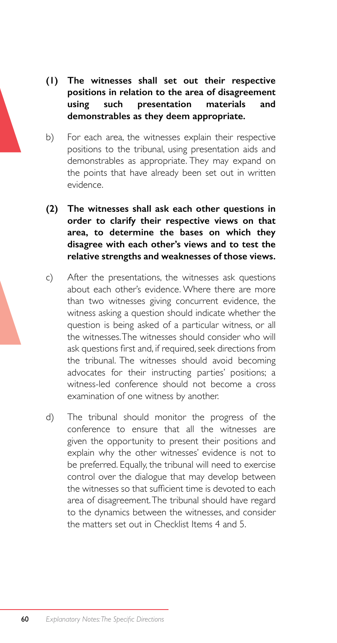- **(1) The witnesses shall set out their respective positions in relation to the area of disagreement using such presentation materials and demonstrables as they deem appropriate.**
- b) For each area, the witnesses explain their respective positions to the tribunal, using presentation aids and demonstrables as appropriate. They may expand on the points that have already been set out in written evidence.
- **(2) The witnesses shall ask each other questions in order to clarify their respective views on that area, to determine the bases on which they disagree with each other's views and to test the relative strengths and weaknesses of those views.**
- c) After the presentations, the witnesses ask questions about each other's evidence. Where there are more than two witnesses giving concurrent evidence, the witness asking a question should indicate whether the question is being asked of a particular witness, or all the witnesses. The witnesses should consider who will ask questions first and, if required, seek directions from the tribunal. The witnesses should avoid becoming advocates for their instructing parties' positions; a witness-led conference should not become a cross examination of one witness by another.
- d) The tribunal should monitor the progress of the conference to ensure that all the witnesses are given the opportunity to present their positions and explain why the other witnesses' evidence is not to be preferred. Equally, the tribunal will need to exercise control over the dialogue that may develop between the witnesses so that sufficient time is devoted to each area of disagreement. The tribunal should have regard to the dynamics between the witnesses, and consider the matters set out in Checklist Items 4 and 5.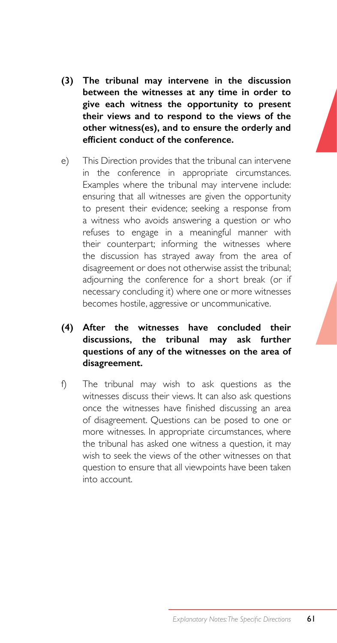- **(3) The tribunal may intervene in the discussion between the witnesses at any time in order to give each witness the opportunity to present their views and to respond to the views of the other witness(es), and to ensure the orderly and efficient conduct of the conference.**
- e) This Direction provides that the tribunal can intervene in the conference in appropriate circumstances. Examples where the tribunal may intervene include: ensuring that all witnesses are given the opportunity to present their evidence; seeking a response from a witness who avoids answering a question or who refuses to engage in a meaningful manner with their counterpart; informing the witnesses where the discussion has strayed away from the area of disagreement or does not otherwise assist the tribunal; adjourning the conference for a short break (or if necessary concluding it) where one or more witnesses becomes hostile, aggressive or uncommunicative.
- **(4) After the witnesses have concluded their discussions, the tribunal may ask further questions of any of the witnesses on the area of disagreement.**
- f) The tribunal may wish to ask questions as the witnesses discuss their views. It can also ask questions once the witnesses have finished discussing an area of disagreement. Questions can be posed to one or more witnesses. In appropriate circumstances, where the tribunal has asked one witness a question, it may wish to seek the views of the other witnesses on that question to ensure that all viewpoints have been taken into account.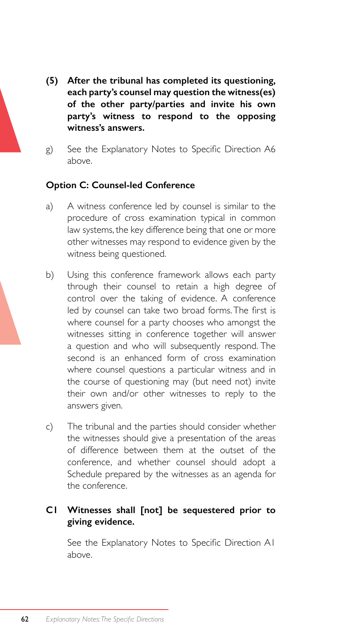- **(5) After the tribunal has completed its questioning, each party's counsel may question the witness(es) of the other party/parties and invite his own party's witness to respond to the opposing witness's answers.**
- g) See the Explanatory Notes to Specific Direction A6 above.

#### **Option C: Counsel-led Conference**

- a) A witness conference led by counsel is similar to the procedure of cross examination typical in common law systems, the key difference being that one or more other witnesses may respond to evidence given by the witness being questioned.
- b) Using this conference framework allows each party through their counsel to retain a high degree of control over the taking of evidence. A conference led by counsel can take two broad forms.The first is where counsel for a party chooses who amongst the witnesses sitting in conference together will answer a question and who will subsequently respond. The second is an enhanced form of cross examination where counsel questions a particular witness and in the course of questioning may (but need not) invite their own and/or other witnesses to reply to the answers given.
- c) The tribunal and the parties should consider whether the witnesses should give a presentation of the areas of difference between them at the outset of the conference, and whether counsel should adopt a Schedule prepared by the witnesses as an agenda for the conference.

#### **C1 Witnesses shall [not] be sequestered prior to giving evidence.**

 See the Explanatory Notes to Specific Direction A1 above.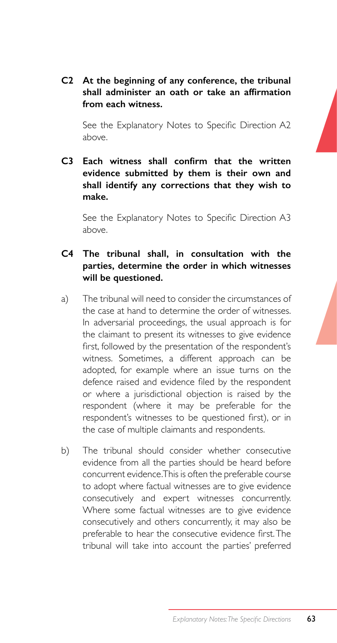**C2 At the beginning of any conference, the tribunal shall administer an oath or take an affirmation from each witness.**

 See the Explanatory Notes to Specific Direction A2 above.

**C3 Each witness shall confirm that the written evidence submitted by them is their own and shall identify any corrections that they wish to make.**

 See the Explanatory Notes to Specific Direction A3 above.

#### **C4 The tribunal shall, in consultation with the parties, determine the order in which witnesses will be questioned.**

- a) The tribunal will need to consider the circumstances of the case at hand to determine the order of witnesses. In adversarial proceedings, the usual approach is for the claimant to present its witnesses to give evidence first, followed by the presentation of the respondent's witness. Sometimes, a different approach can be adopted, for example where an issue turns on the defence raised and evidence filed by the respondent or where a jurisdictional objection is raised by the respondent (where it may be preferable for the respondent's witnesses to be questioned first), or in the case of multiple claimants and respondents.
- b) The tribunal should consider whether consecutive evidence from all the parties should be heard before concurrent evidence. This is often the preferable course to adopt where factual witnesses are to give evidence consecutively and expert witnesses concurrently. Where some factual witnesses are to give evidence consecutively and others concurrently, it may also be preferable to hear the consecutive evidence first.The tribunal will take into account the parties' preferred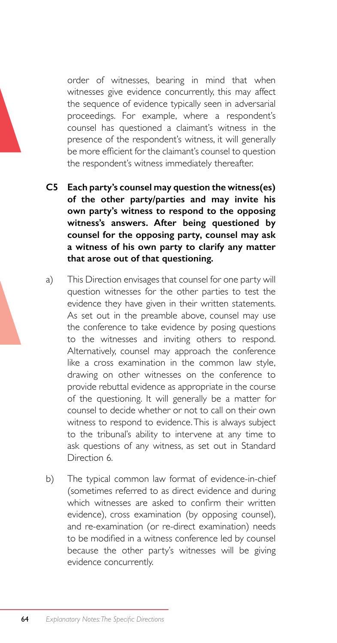order of witnesses, bearing in mind that when witnesses give evidence concurrently, this may affect the sequence of evidence typically seen in adversarial proceedings. For example, where a respondent's counsel has questioned a claimant's witness in the presence of the respondent's witness, it will generally be more efficient for the claimant's counsel to question the respondent's witness immediately thereafter.

- **C5 Each party's counsel may question the witness(es) of the other party/parties and may invite his own party's witness to respond to the opposing witness's answers. After being questioned by counsel for the opposing party, counsel may ask a witness of his own party to clarify any matter that arose out of that questioning.**
- a) This Direction envisages that counsel for one party will question witnesses for the other parties to test the evidence they have given in their written statements. As set out in the preamble above, counsel may use the conference to take evidence by posing questions to the witnesses and inviting others to respond. Alternatively, counsel may approach the conference like a cross examination in the common law style, drawing on other witnesses on the conference to provide rebuttal evidence as appropriate in the course of the questioning. It will generally be a matter for counsel to decide whether or not to call on their own witness to respond to evidence. This is always subject to the tribunal's ability to intervene at any time to ask questions of any witness, as set out in Standard Direction 6.
- b) The typical common law format of evidence-in-chief (sometimes referred to as direct evidence and during which witnesses are asked to confirm their written evidence), cross examination (by opposing counsel), and re-examination (or re-direct examination) needs to be modified in a witness conference led by counsel because the other party's witnesses will be giving evidence concurrently.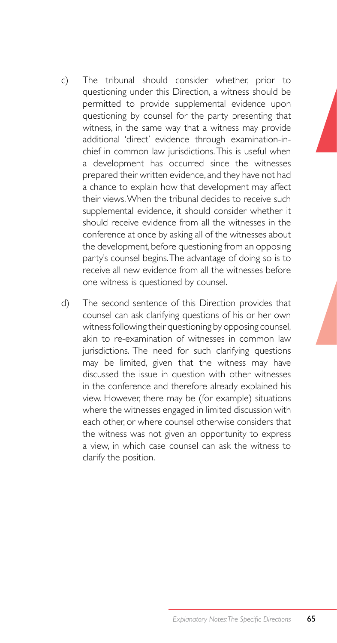- c) The tribunal should consider whether, prior to questioning under this Direction, a witness should be permitted to provide supplemental evidence upon questioning by counsel for the party presenting that witness, in the same way that a witness may provide additional 'direct' evidence through examination-inchief in common law jurisdictions. This is useful when a development has occurred since the witnesses prepared their written evidence, and they have not had a chance to explain how that development may affect their views. When the tribunal decides to receive such supplemental evidence, it should consider whether it should receive evidence from all the witnesses in the conference at once by asking all of the witnesses about the development, before questioning from an opposing party's counsel begins. The advantage of doing so is to receive all new evidence from all the witnesses before one witness is questioned by counsel.
- d) The second sentence of this Direction provides that counsel can ask clarifying questions of his or her own witness following their questioning by opposing counsel, akin to re-examination of witnesses in common law jurisdictions. The need for such clarifying questions may be limited, given that the witness may have discussed the issue in question with other witnesses in the conference and therefore already explained his view. However, there may be (for example) situations where the witnesses engaged in limited discussion with each other, or where counsel otherwise considers that the witness was not given an opportunity to express a view, in which case counsel can ask the witness to clarify the position.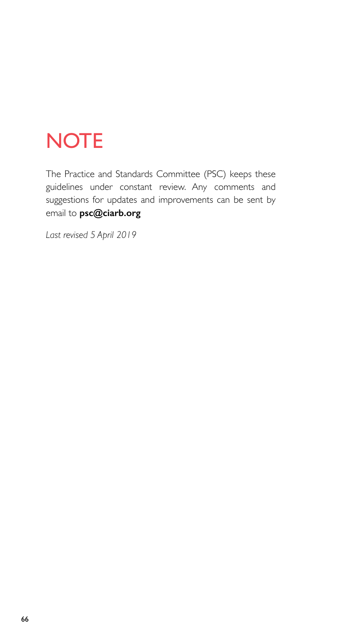# **NOTE**

The Practice and Standards Committee (PSC) keeps these guidelines under constant review. Any comments and suggestions for updates and improvements can be sent by email to **psc@ciarb.org**

*Last revised 5 April 2019*